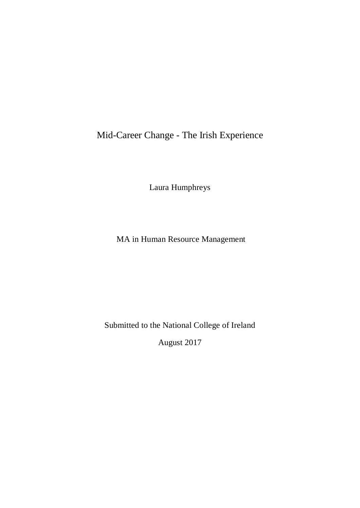Mid-Career Change - The Irish Experience

Laura Humphreys

MA in Human Resource Management

Submitted to the National College of Ireland

August 2017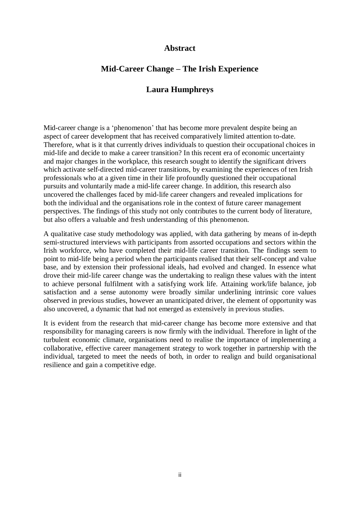# **Abstract**

# **Mid-Career Change – The Irish Experience**

# **Laura Humphreys**

Mid-career change is a 'phenomenon' that has become more prevalent despite being an aspect of career development that has received comparatively limited attention to-date. Therefore, what is it that currently drives individuals to question their occupational choices in mid-life and decide to make a career transition? In this recent era of economic uncertainty and major changes in the workplace, this research sought to identify the significant drivers which activate self-directed mid-career transitions, by examining the experiences of ten Irish professionals who at a given time in their life profoundly questioned their occupational pursuits and voluntarily made a mid-life career change. In addition, this research also uncovered the challenges faced by mid-life career changers and revealed implications for both the individual and the organisations role in the context of future career management perspectives. The findings of this study not only contributes to the current body of literature, but also offers a valuable and fresh understanding of this phenomenon.

A qualitative case study methodology was applied, with data gathering by means of in-depth semi-structured interviews with participants from assorted occupations and sectors within the Irish workforce, who have completed their mid-life career transition. The findings seem to point to mid-life being a period when the participants realised that their self-concept and value base, and by extension their professional ideals, had evolved and changed. In essence what drove their mid-life career change was the undertaking to realign these values with the intent to achieve personal fulfilment with a satisfying work life. Attaining work/life balance, job satisfaction and a sense autonomy were broadly similar underlining intrinsic core values observed in previous studies, however an unanticipated driver, the element of opportunity was also uncovered, a dynamic that had not emerged as extensively in previous studies.

It is evident from the research that mid-career change has become more extensive and that responsibility for managing careers is now firmly with the individual. Therefore in light of the turbulent economic climate, organisations need to realise the importance of implementing a collaborative, effective career management strategy to work together in partnership with the individual, targeted to meet the needs of both, in order to realign and build organisational resilience and gain a competitive edge.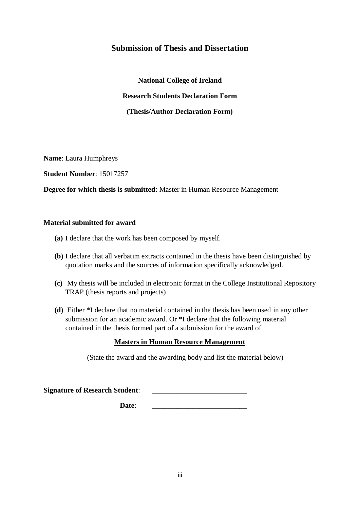# **Submission of Thesis and Dissertation**

**National College of Ireland Research Students Declaration Form (Thesis/Author Declaration Form)**

**Name**: Laura Humphreys

**Student Number**: 15017257

**Degree for which thesis is submitted**: Master in Human Resource Management

# **Material submitted for award**

- **(a)** I declare that the work has been composed by myself.
- **(b)** I declare that all verbatim extracts contained in the thesis have been distinguished by quotation marks and the sources of information specifically acknowledged.
- **(c)** My thesis will be included in electronic format in the College Institutional Repository TRAP (thesis reports and projects)
- **(d)** Either \*I declare that no material contained in the thesis has been used in any other submission for an academic award. Or \*I declare that the following material contained in the thesis formed part of a submission for the award of

# **Masters in Human Resource Management**

(State the award and the awarding body and list the material below)

| <b>Signature of Research Student:</b> |  |
|---------------------------------------|--|
|                                       |  |

Date: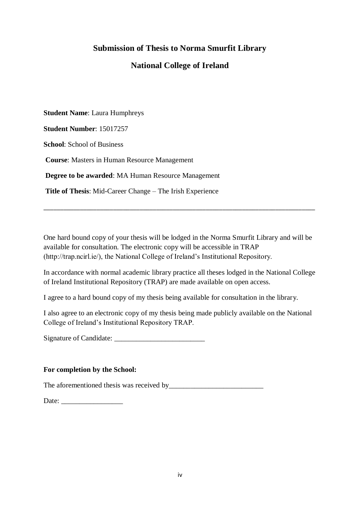# **Submission of Thesis to Norma Smurfit Library**

# **National College of Ireland**

**Student Name**: Laura Humphreys

**Student Number**: 15017257

**School**: School of Business

**Course**: Masters in Human Resource Management

**Degree to be awarded**: MA Human Resource Management

**Title of Thesis**: Mid-Career Change – The Irish Experience

One hard bound copy of your thesis will be lodged in the Norma Smurfit Library and will be available for consultation. The electronic copy will be accessible in TRAP (http://trap.ncirl.ie/), the National College of Ireland's Institutional Repository.

\_\_\_\_\_\_\_\_\_\_\_\_\_\_\_\_\_\_\_\_\_\_\_\_\_\_\_\_\_\_\_\_\_\_\_\_\_\_\_\_\_\_\_\_\_\_\_\_\_\_\_\_\_\_\_\_\_\_\_\_\_\_\_\_\_\_\_\_\_\_\_\_\_\_\_\_\_\_\_\_\_\_

In accordance with normal academic library practice all theses lodged in the National College of Ireland Institutional Repository (TRAP) are made available on open access.

I agree to a hard bound copy of my thesis being available for consultation in the library.

I also agree to an electronic copy of my thesis being made publicly available on the National College of Ireland's Institutional Repository TRAP.

Signature of Candidate: \_\_\_\_\_\_\_\_\_\_\_\_\_\_\_\_\_\_\_\_\_\_\_\_\_

# **For completion by the School:**

The aforementioned thesis was received by\_\_\_\_\_\_\_\_\_\_\_\_\_\_\_\_\_\_\_\_\_\_\_\_\_\_

Date: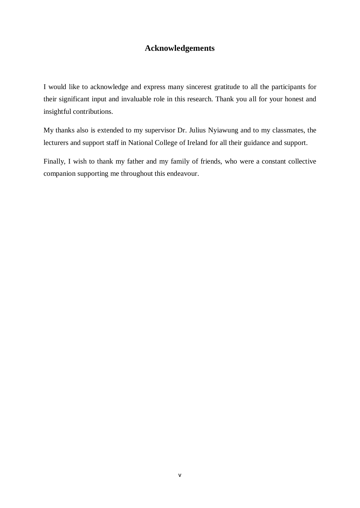# **Acknowledgements**

I would like to acknowledge and express many sincerest gratitude to all the participants for their significant input and invaluable role in this research. Thank you all for your honest and insightful contributions.

My thanks also is extended to my supervisor Dr. Julius Nyiawung and to my classmates, the lecturers and support staff in National College of Ireland for all their guidance and support.

Finally, I wish to thank my father and my family of friends, who were a constant collective companion supporting me throughout this endeavour.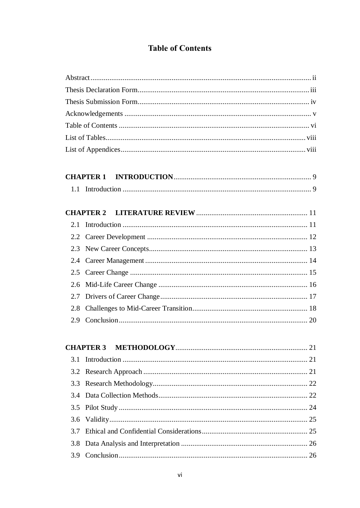# **Table of Contents**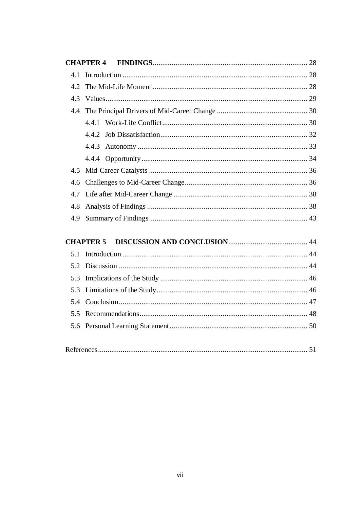|--|--|--|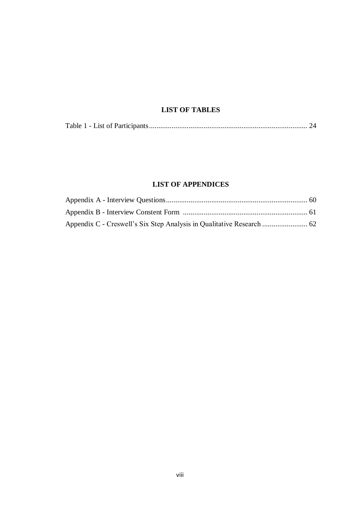# **LIST OF TABLES**

|--|--|--|--|

# **LIST OF APPENDICES**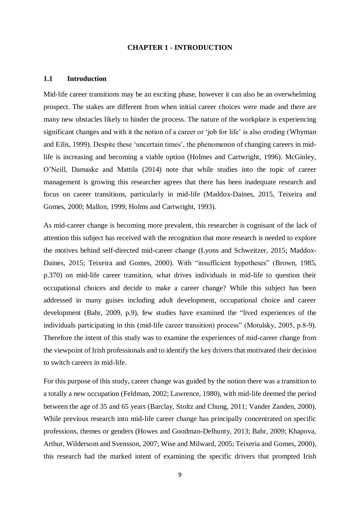#### **CHAPTER 1 - INTRODUCTION**

#### **1.1 Introduction**

Mid-life career transitions may be an exciting phase, however it can also be an overwhelming prospect. The stakes are different from when initial career choices were made and there are many new obstacles likely to hinder the process. The nature of the workplace is experiencing significant changes and with it the notion of a career or 'job for life' is also eroding (Whyman and Eilis, 1999). Despite these 'uncertain times', the phenomenon of changing careers in midlife is increasing and becoming a viable option (Holmes and Cartwright, 1996). McGinley, O'Neill, Damaske and Mattila (2014) note that while studies into the topic of career management is growing this researcher agrees that there has been inadequate research and focus on career transitions, particularly in mid-life (Maddox-Daines, 2015, Teixeira and Gomes, 2000; Mallon, 1999; Holms and Cartwright, 1993).

As mid-career change is becoming more prevalent, this researcher is cognisant of the lack of attention this subject has received with the recognition that more research is needed to explore the motives behind self-directed mid-career change (Lyons and Schweitzer, 2015; Maddox-Daines, 2015; Teixeira and Gomes, 2000). With "insufficient hypotheses" (Brown, 1985, p.370) on mid-life career transition, what drives individuals in mid-life to question their occupational choices and decide to make a career change? While this subject has been addressed in many guises including adult development, occupational choice and career development (Bahr, 2009, p.9), few studies have examined the "lived experiences of the individuals participating in this (mid-life career transition) process" (Motulsky, 2005, p.8-9). Therefore the intent of this study was to examine the experiences of mid-career change from the viewpoint of Irish professionals and to identify the key drivers that motivated their decision to switch careers in mid-life.

For this purpose of this study, career change was guided by the notion there was a transition to a totally a new occupation (Feldman, 2002; Lawrence, 1980), with mid-life deemed the period between the age of 35 and 65 years (Barclay, Stoltz and Chung, 2011; Vander Zanden, 2000). While previous research into mid-life career change has principally concentrated on specific professions, themes or genders (Howes and Goodman-Delhunty, 2013; Bahr, 2009; Khapova, Arthur, Wildersom and Svensson, 2007; Wise and Milward, 2005; Teixeria and Gomes, 2000), this research had the marked intent of examining the specific drivers that prompted Irish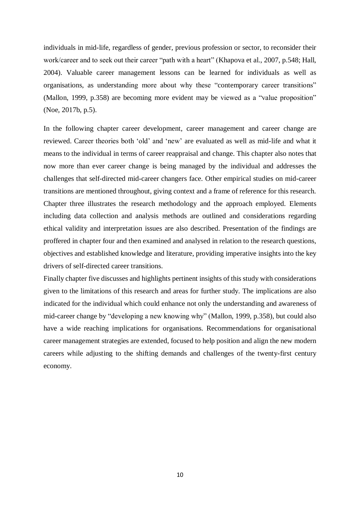individuals in mid-life, regardless of gender, previous profession or sector, to reconsider their work/career and to seek out their career "path with a heart" (Khapova et al., 2007, p.548; Hall, 2004). Valuable career management lessons can be learned for individuals as well as organisations, as understanding more about why these "contemporary career transitions" (Mallon, 1999, p.358) are becoming more evident may be viewed as a "value proposition" (Noe, 2017b, p.5).

In the following chapter career development, career management and career change are reviewed. Career theories both 'old' and 'new' are evaluated as well as mid-life and what it means to the individual in terms of career reappraisal and change. This chapter also notes that now more than ever career change is being managed by the individual and addresses the challenges that self-directed mid-career changers face. Other empirical studies on mid-career transitions are mentioned throughout, giving context and a frame of reference for this research. Chapter three illustrates the research methodology and the approach employed. Elements including data collection and analysis methods are outlined and considerations regarding ethical validity and interpretation issues are also described. Presentation of the findings are proffered in chapter four and then examined and analysed in relation to the research questions, objectives and established knowledge and literature, providing imperative insights into the key drivers of self-directed career transitions.

Finally chapter five discusses and highlights pertinent insights of this study with considerations given to the limitations of this research and areas for further study. The implications are also indicated for the individual which could enhance not only the understanding and awareness of mid-career change by "developing a new knowing why" (Mallon, 1999, p.358), but could also have a wide reaching implications for organisations. Recommendations for organisational career management strategies are extended, focused to help position and align the new modern careers while adjusting to the shifting demands and challenges of the twenty-first century economy.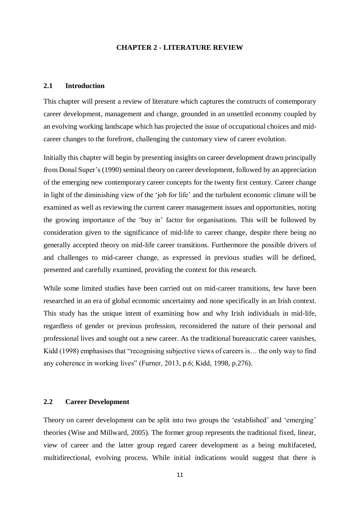#### **CHAPTER 2 - LITERATURE REVIEW**

## **2.1 Introduction**

This chapter will present a review of literature which captures the constructs of contemporary career development, management and change, grounded in an unsettled economy coupled by an evolving working landscape which has projected the issue of occupational choices and midcareer changes to the forefront, challenging the customary view of career evolution.

Initially this chapter will begin by presenting insights on career development drawn principally from Donal Super's (1990) seminal theory on career development, followed by an appreciation of the emerging new contemporary career concepts for the twenty first century. Career change in light of the diminishing view of the 'job for life' and the turbulent economic climate will be examined as well as reviewing the current career management issues and opportunities, noting the growing importance of the 'buy in' factor for organisations. This will be followed by consideration given to the significance of mid-life to career change, despite there being no generally accepted theory on mid-life career transitions. Furthermore the possible drivers of and challenges to mid-career change, as expressed in previous studies will be defined, presented and carefully examined, providing the context for this research.

While some limited studies have been carried out on mid-career transitions, few have been researched in an era of global economic uncertainty and none specifically in an Irish context. This study has the unique intent of examining how and why Irish individuals in mid-life, regardless of gender or previous profession, reconsidered the nature of their personal and professional lives and sought out a new career. As the traditional bureaucratic career vanishes, Kidd (1998) emphasises that "recognising subjective views of careers is… the only way to find any coherence in working lives" (Furner, 2013, p.6; Kidd, 1998, p.276).

## **2.2 Career Development**

Theory on career development can be split into two groups the 'established' and 'emerging' theories (Wise and Millward, 2005). The former group represents the traditional fixed, linear, view of career and the latter group regard career development as a being multifaceted, multidirectional, evolving process. While initial indications would suggest that there is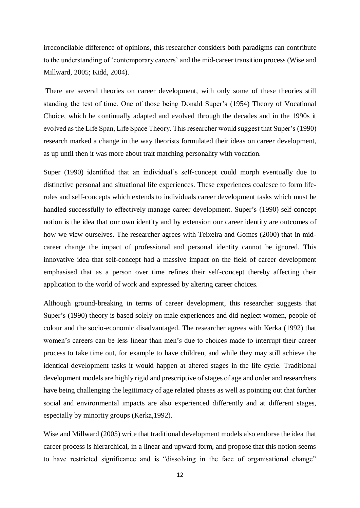irreconcilable difference of opinions, this researcher considers both paradigms can contribute to the understanding of 'contemporary careers' and the mid-career transition process (Wise and Millward, 2005; Kidd, 2004).

There are several theories on career development, with only some of these theories still standing the test of time. One of those being Donald Super's (1954) Theory of Vocational Choice, which he continually adapted and evolved through the decades and in the 1990s it evolved as the Life Span, Life Space Theory. This researcher would suggest that Super's (1990) research marked a change in the way theorists formulated their ideas on career development, as up until then it was more about trait matching personality with vocation.

Super (1990) identified that an individual's self-concept could morph eventually due to distinctive personal and situational life experiences. These experiences coalesce to form liferoles and self-concepts which extends to individuals career development tasks which must be handled successfully to effectively manage career development. Super's (1990) self-concept notion is the idea that our own identity and by extension our career identity are outcomes of how we view ourselves. The researcher agrees with Teixeira and Gomes (2000) that in midcareer change the impact of professional and personal identity cannot be ignored. This innovative idea that self-concept had a massive impact on the field of career development emphasised that as a person over time refines their self-concept thereby affecting their application to the world of work and expressed by altering career choices.

Although ground-breaking in terms of career development, this researcher suggests that Super's (1990) theory is based solely on male experiences and did neglect women, people of colour and the socio-economic disadvantaged. The researcher agrees with Kerka (1992) that women's careers can be less linear than men's due to choices made to interrupt their career process to take time out, for example to have children, and while they may still achieve the identical development tasks it would happen at altered stages in the life cycle. Traditional development models are highly rigid and prescriptive of stages of age and order and researchers have being challenging the legitimacy of age related phases as well as pointing out that further social and environmental impacts are also experienced differently and at different stages, especially by minority groups (Kerka,1992).

Wise and Millward (2005) write that traditional development models also endorse the idea that career process is hierarchical, in a linear and upward form, and propose that this notion seems to have restricted significance and is "dissolving in the face of organisational change"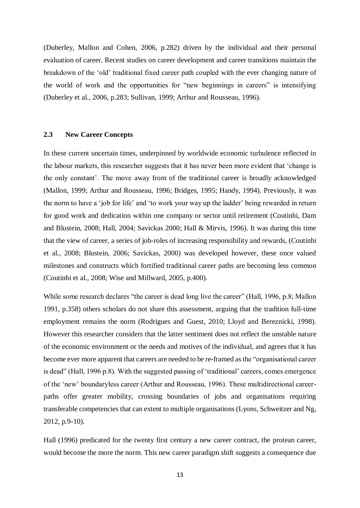(Duberley, Mallon and Cohen, 2006, p.282) driven by the individual and their personal evaluation of career. Recent studies on career development and career transitions maintain the breakdown of the 'old' traditional fixed career path coupled with the ever changing nature of the world of work and the opportunities for "new beginnings in careers" is intensifying (Duberley et al., 2006, p.283; Sullivan, 1999; Arthur and Rousseau, 1996).

#### **2.3 New Career Concepts**

In these current uncertain times, underpinned by worldwide economic turbulence reflected in the labour markets, this researcher suggests that it has never been more evident that 'change is the only constant'. The move away from of the traditional career is broadly acknowledged (Mallon, 1999; Arthur and Rousseau, 1996; Bridges, 1995; Handy, 1994). Previously, it was the norm to have a 'job for life' and 'to work your way up the ladder' being rewarded in return for good work and dedication within one company or sector until retirement (Coutinhi, Dam and Blustein, 2008; Hall, 2004; Savickas 2000; Hall & Mirvis, 1996). It was during this time that the view of career, a series of job-roles of increasing responsibility and rewards, (Coutinhi et al., 2008; Blustein, 2006; Savickas, 2000) was developed however, these once valued milestones and constructs which fortified traditional career paths are becoming less common (Coutinhi et al., 2008; Wise and Millward, 2005, p.400).

While some research declares "the career is dead long live the career" (Hall, 1996, p.8; Mallon 1991, p.358) others scholars do not share this assessment, arguing that the tradition full-time employment remains the norm (Rodrigues and Guest, 2010; Lloyd and Bereznicki, 1998). However this researcher considers that the latter sentiment does not reflect the unstable nature of the economic environment or the needs and motives of the individual, and agrees that it has become ever more apparent that careers are needed to be re-framed as the "organisational career is dead" (Hall, 1996 p.8). With the suggested passing of 'traditional' careers, comes emergence of the 'new' boundaryless career (Arthur and Rousseau, 1996). These multidirectional careerpaths offer greater mobility, crossing boundaries of jobs and organisations requiring transferable competencies that can extent to multiple organisations (Lyons, Schweitzer and Ng, 2012, p.9-10).

Hall (1996) predicated for the twenty first century a new career contract, the protean career, would become the more the norm. This new career paradigm shift suggests a consequence due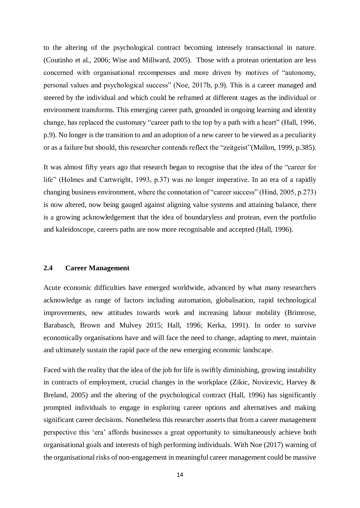to the altering of the psychological contract becoming intensely transactional in nature. (Coutinho et al., 2006; Wise and Millward, 2005). Those with a protean orientation are less concerned with organisational recompenses and more driven by motives of "autonomy, personal values and psychological success" (Noe, 2017b, p.9). This is a career managed and steered by the individual and which could be reframed at different stages as the individual or environment transforms. This emerging career path, grounded in ongoing learning and identity change, has replaced the customary "career path to the top by a path with a heart" (Hall, 1996, p.9). No longer is the transition to and an adoption of a new career to be viewed as a peculiarity or as a failure but should, this researcher contends reflect the "zeitgeist"(Mallon, 1999, p.385).

It was almost fifty years ago that research began to recognise that the idea of the "career for life" (Holmes and Cartwright, 1993, p.37) was no longer imperative. In an era of a rapidly changing business environment, where the connotation of "career success" (Hind, 2005, p.273) is now altered, now being gauged against aligning value systems and attaining balance, there is a growing acknowledgement that the idea of boundaryless and protean, even the portfolio and kaleidoscope, careers paths are now more recognisable and accepted (Hall, 1996).

## **2.4 Career Management**

Acute economic difficulties have emerged worldwide, advanced by what many researchers acknowledge as range of factors including automation, globalisation, rapid technological improvements, new attitudes towards work and increasing labour mobility (Brimrose, Barabasch, Brown and Mulvey 2015; Hall, 1996; Kerka, 1991). In order to survive economically organisations have and will face the need to change, adapting to meet, maintain and ultimately sustain the rapid pace of the new emerging economic landscape.

Faced with the reality that the idea of the job for life is swiftly diminishing, growing instability in contracts of employment, crucial changes in the workplace (Zikic, Novicevic, Harvey & Breland, 2005) and the altering of the psychological contract (Hall, 1996) has significantly prompted individuals to engage in exploring career options and alternatives and making significant career decisions. Nonetheless this researcher asserts that from a career management perspective this 'era' affords businesses a great opportunity to simultaneously achieve both organisational goals and interests of high performing individuals. With Noe (2017) warning of the organisational risks of non-engagement in meaningful career management could be massive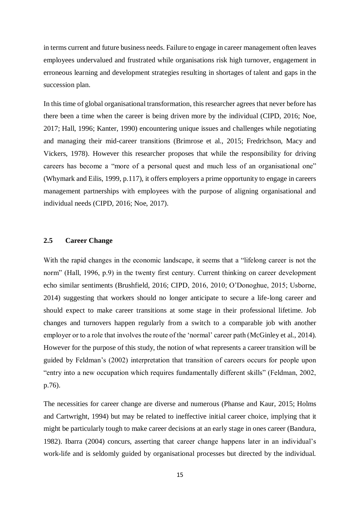in terms current and future business needs. Failure to engage in career management often leaves employees undervalued and frustrated while organisations risk high turnover, engagement in erroneous learning and development strategies resulting in shortages of talent and gaps in the succession plan.

In this time of global organisational transformation, this researcher agrees that never before has there been a time when the career is being driven more by the individual (CIPD, 2016; Noe, 2017; Hall, 1996; Kanter, 1990) encountering unique issues and challenges while negotiating and managing their mid-career transitions (Brimrose et al., 2015; Fredrichson, Macy and Vickers, 1978). However this researcher proposes that while the responsibility for driving careers has become a "more of a personal quest and much less of an organisational one" (Whymark and Eilis, 1999, p.117), it offers employers a prime opportunity to engage in careers management partnerships with employees with the purpose of aligning organisational and individual needs (CIPD, 2016; Noe, 2017).

#### **2.5 Career Change**

With the rapid changes in the economic landscape, it seems that a "lifelong career is not the norm" (Hall, 1996, p.9) in the twenty first century. Current thinking on career development echo similar sentiments (Brushfield, 2016; CIPD, 2016, 2010; O'Donoghue, 2015; Usborne, 2014) suggesting that workers should no longer anticipate to secure a life-long career and should expect to make career transitions at some stage in their professional lifetime. Job changes and turnovers happen regularly from a switch to a comparable job with another employer or to a role that involves the route of the 'normal' career path (McGinley et al., 2014). However for the purpose of this study, the notion of what represents a career transition will be guided by Feldman's (2002) interpretation that transition of careers occurs for people upon "entry into a new occupation which requires fundamentally different skills" (Feldman, 2002, p.76).

The necessities for career change are diverse and numerous (Phanse and Kaur, 2015; Holms and Cartwright, 1994) but may be related to ineffective initial career choice, implying that it might be particularly tough to make career decisions at an early stage in ones career (Bandura, 1982). Ibarra (2004) concurs, asserting that career change happens later in an individual's work-life and is seldomly guided by organisational processes but directed by the individual.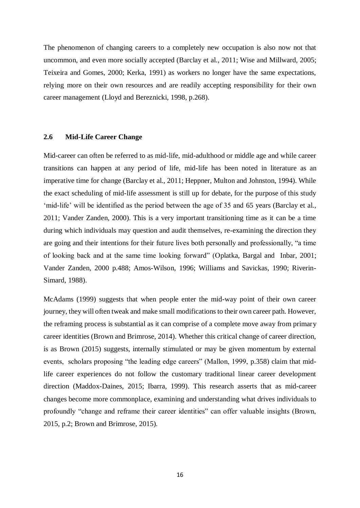The phenomenon of changing careers to a completely new occupation is also now not that uncommon, and even more socially accepted (Barclay et al., 2011; Wise and Millward, 2005; Teixeira and Gomes, 2000; Kerka, 1991) as workers no longer have the same expectations, relying more on their own resources and are readily accepting responsibility for their own career management (Lloyd and Bereznicki, 1998, p.268).

#### **2.6 Mid-Life Career Change**

Mid-career can often be referred to as mid-life, mid-adulthood or middle age and while career transitions can happen at any period of life, mid-life has been noted in literature as an imperative time for change (Barclay et al., 2011; Heppner, Multon and Johnston, 1994). While the exact scheduling of mid-life assessment is still up for debate, for the purpose of this study 'mid-life' will be identified as the period between the age of 35 and 65 years (Barclay et al., 2011; Vander Zanden, 2000). This is a very important transitioning time as it can be a time during which individuals may question and audit themselves, re-examining the direction they are going and their intentions for their future lives both personally and professionally, "a time of looking back and at the same time looking forward" (Oplatka, Bargal and Inbar, 2001; Vander Zanden, 2000 p.488; Amos-Wilson, 1996; Williams and Savickas, 1990; Riverin-Simard, 1988).

McAdams (1999) suggests that when people enter the mid-way point of their own career journey, they will often tweak and make small modifications to their own career path. However, the reframing process is substantial as it can comprise of a complete move away from primary career identities (Brown and Brimrose, 2014). Whether this critical change of career direction, is as Brown (2015) suggests, internally stimulated or may be given momentum by external events, scholars proposing "the leading edge careers" (Mallon, 1999, p.358) claim that midlife career experiences do not follow the customary traditional linear career development direction (Maddox-Daines, 2015; Ibarra, 1999). This research asserts that as mid-career changes become more commonplace, examining and understanding what drives individuals to profoundly "change and reframe their career identities" can offer valuable insights (Brown, 2015, p.2; Brown and Brimrose, 2015).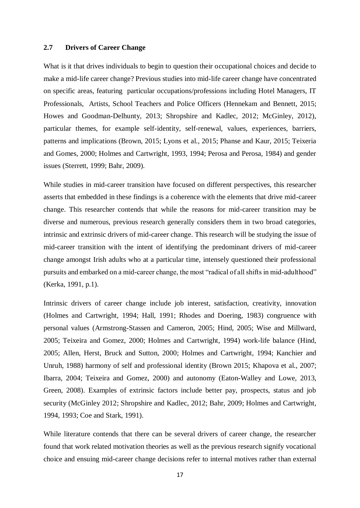## **2.7 Drivers of Career Change**

What is it that drives individuals to begin to question their occupational choices and decide to make a mid-life career change? Previous studies into mid-life career change have concentrated on specific areas, featuring particular occupations/professions including Hotel Managers, IT Professionals, Artists, School Teachers and Police Officers (Hennekam and Bennett, 2015; Howes and Goodman-Delhunty, 2013; Shropshire and Kadlec, 2012; McGinley, 2012), particular themes, for example self-identity, self-renewal, values, experiences, barriers, patterns and implications (Brown, 2015; Lyons et al., 2015; Phanse and Kaur, 2015; Teixeria and Gomes, 2000; Holmes and Cartwright, 1993, 1994; Perosa and Perosa, 1984) and gender issues (Sterrett, 1999; Bahr, 2009).

While studies in mid-career transition have focused on different perspectives, this researcher asserts that embedded in these findings is a coherence with the elements that drive mid-career change. This researcher contends that while the reasons for mid-career transition may be diverse and numerous, previous research generally considers them in two broad categories, intrinsic and extrinsic drivers of mid-career change. This research will be studying the issue of mid-career transition with the intent of identifying the predominant drivers of mid-career change amongst Irish adults who at a particular time, intensely questioned their professional pursuits and embarked on a mid-career change, the most "radical of all shifts in mid-adulthood" (Kerka, 1991, p.1).

Intrinsic drivers of career change include job interest, satisfaction, creativity, innovation (Holmes and Cartwright, 1994; Hall, 1991; Rhodes and Doering, 1983) congruence with personal values (Armstrong-Stassen and Cameron, 2005; Hind, 2005; Wise and Millward, 2005; Teixeira and Gomez, 2000; Holmes and Cartwright, 1994) work-life balance (Hind, 2005; Allen, Herst, Bruck and Sutton, 2000; Holmes and Cartwright, 1994; Kanchier and Unruh, 1988) harmony of self and professional identity (Brown 2015; Khapova et al., 2007; Ibarra, 2004; Teixeira and Gomez, 2000) and autonomy (Eaton-Walley and Lowe, 2013, Green, 2008). Examples of extrinsic factors include better pay, prospects, status and job security (McGinley 2012; Shropshire and Kadlec, 2012; Bahr, 2009; Holmes and Cartwright, 1994, 1993; Coe and Stark, 1991).

While literature contends that there can be several drivers of career change, the researcher found that work related motivation theories as well as the previous research signify vocational choice and ensuing mid-career change decisions refer to internal motives rather than external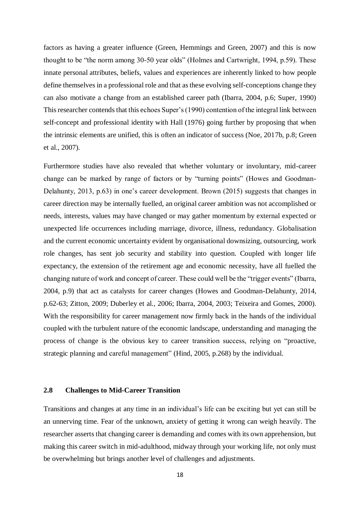factors as having a greater influence (Green, Hemmings and Green, 2007) and this is now thought to be "the norm among 30-50 year olds" (Holmes and Cartwright, 1994, p.59). These innate personal attributes, beliefs, values and experiences are inherently linked to how people define themselves in a professional role and that as these evolving self-conceptions change they can also motivate a change from an established career path (Ibarra, 2004, p.6; Super, 1990) This researcher contends that this echoes Super's (1990) contention of the integral link between self-concept and professional identity with Hall (1976) going further by proposing that when the intrinsic elements are unified, this is often an indicator of success (Noe, 2017b, p.8; Green et al., 2007).

Furthermore studies have also revealed that whether voluntary or involuntary, mid-career change can be marked by range of factors or by "turning points" (Howes and Goodman-Delahunty, 2013, p.63) in one's career development. Brown (2015) suggests that changes in career direction may be internally fuelled, an original career ambition was not accomplished or needs, interests, values may have changed or may gather momentum by external expected or unexpected life occurrences including marriage, divorce, illness, redundancy. Globalisation and the current economic uncertainty evident by organisational downsizing, outsourcing, work role changes, has sent job security and stability into question. Coupled with longer life expectancy, the extension of the retirement age and economic necessity, have all fuelled the changing nature of work and concept of career. These could well be the "trigger events" (Ibarra, 2004, p.9) that act as catalysts for career changes (Howes and Goodman-Delahunty, 2014, p.62-63; Zitton, 2009; Duberley et al., 2006; Ibarra, 2004, 2003; Teixeira and Gomes, 2000). With the responsibility for career management now firmly back in the hands of the individual coupled with the turbulent nature of the economic landscape, understanding and managing the process of change is the obvious key to career transition success, relying on "proactive, strategic planning and careful management" (Hind, 2005, p.268) by the individual.

#### **2.8 Challenges to Mid-Career Transition**

Transitions and changes at any time in an individual's life can be exciting but yet can still be an unnerving time. Fear of the unknown, anxiety of getting it wrong can weigh heavily. The researcher asserts that changing career is demanding and comes with its own apprehension, but making this career switch in mid-adulthood, midway through your working life, not only must be overwhelming but brings another level of challenges and adjustments.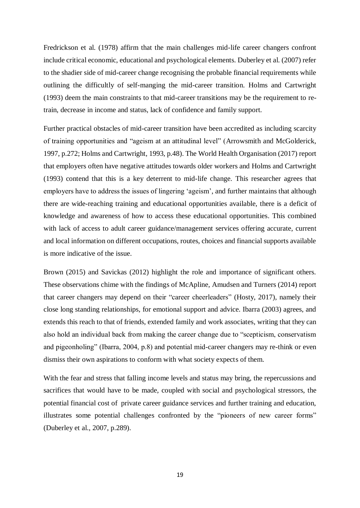Fredrickson et al. (1978) affirm that the main challenges mid-life career changers confront include critical economic, educational and psychological elements. Duberley et al. (2007) refer to the shadier side of mid-career change recognising the probable financial requirements while outlining the difficultly of self-manging the mid-career transition. Holms and Cartwright (1993) deem the main constraints to that mid-career transitions may be the requirement to retrain, decrease in income and status, lack of confidence and family support.

Further practical obstacles of mid-career transition have been accredited as including scarcity of training opportunities and "ageism at an attitudinal level" (Arrowsmith and McGolderick, 1997, p.272; Holms and Cartwright, 1993, p.48). The World Health Organisation (2017) report that employers often have negative attitudes towards older workers and Holms and Cartwright (1993) contend that this is a key deterrent to mid-life change. This researcher agrees that employers have to address the issues of lingering 'ageism', and further maintains that although there are wide-reaching training and educational opportunities available, there is a deficit of knowledge and awareness of how to access these educational opportunities. This combined with lack of access to adult career guidance/management services offering accurate, current and local information on different occupations, routes, choices and financial supports available is more indicative of the issue.

Brown (2015) and Savickas (2012) highlight the role and importance of significant others. These observations chime with the findings of McApline, Amudsen and Turners (2014) report that career changers may depend on their "career cheerleaders" (Hosty, 2017), namely their close long standing relationships, for emotional support and advice. Ibarra (2003) agrees, and extends this reach to that of friends, extended family and work associates, writing that they can also hold an individual back from making the career change due to "scepticism, conservatism and pigeonholing" (Ibarra, 2004, p.8) and potential mid-career changers may re-think or even dismiss their own aspirations to conform with what society expects of them.

With the fear and stress that falling income levels and status may bring, the repercussions and sacrifices that would have to be made, coupled with social and psychological stressors, the potential financial cost of private career guidance services and further training and education, illustrates some potential challenges confronted by the "pioneers of new career forms" (Duberley et al., 2007, p.289).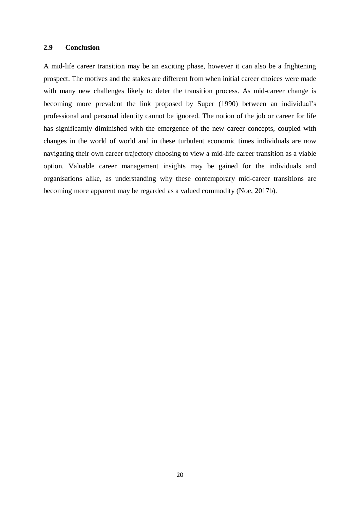## **2.9 Conclusion**

A mid-life career transition may be an exciting phase, however it can also be a frightening prospect. The motives and the stakes are different from when initial career choices were made with many new challenges likely to deter the transition process. As mid-career change is becoming more prevalent the link proposed by Super (1990) between an individual's professional and personal identity cannot be ignored. The notion of the job or career for life has significantly diminished with the emergence of the new career concepts, coupled with changes in the world of world and in these turbulent economic times individuals are now navigating their own career trajectory choosing to view a mid-life career transition as a viable option. Valuable career management insights may be gained for the individuals and organisations alike, as understanding why these contemporary mid-career transitions are becoming more apparent may be regarded as a valued commodity (Noe, 2017b).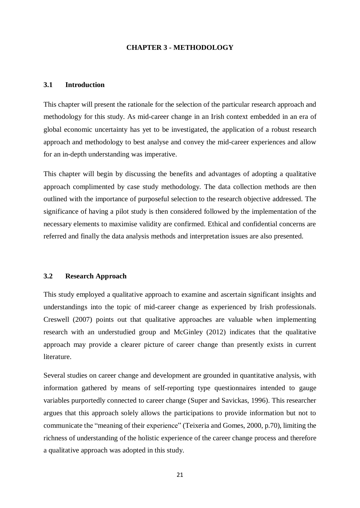#### **CHAPTER 3 - METHODOLOGY**

## **3.1 Introduction**

This chapter will present the rationale for the selection of the particular research approach and methodology for this study. As mid-career change in an Irish context embedded in an era of global economic uncertainty has yet to be investigated, the application of a robust research approach and methodology to best analyse and convey the mid-career experiences and allow for an in-depth understanding was imperative.

This chapter will begin by discussing the benefits and advantages of adopting a qualitative approach complimented by case study methodology. The data collection methods are then outlined with the importance of purposeful selection to the research objective addressed. The significance of having a pilot study is then considered followed by the implementation of the necessary elements to maximise validity are confirmed. Ethical and confidential concerns are referred and finally the data analysis methods and interpretation issues are also presented.

## **3.2 Research Approach**

This study employed a qualitative approach to examine and ascertain significant insights and understandings into the topic of mid-career change as experienced by Irish professionals. Creswell (2007) points out that qualitative approaches are valuable when implementing research with an understudied group and McGinley (2012) indicates that the qualitative approach may provide a clearer picture of career change than presently exists in current literature.

Several studies on career change and development are grounded in quantitative analysis, with information gathered by means of self-reporting type questionnaires intended to gauge variables purportedly connected to career change (Super and Savickas, 1996). This researcher argues that this approach solely allows the participations to provide information but not to communicate the "meaning of their experience" (Teixeria and Gomes, 2000, p.70), limiting the richness of understanding of the holistic experience of the career change process and therefore a qualitative approach was adopted in this study.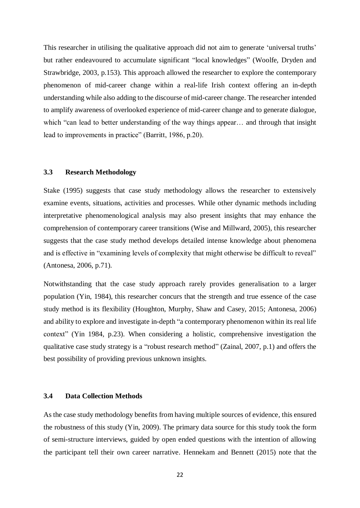This researcher in utilising the qualitative approach did not aim to generate 'universal truths' but rather endeavoured to accumulate significant "local knowledges" (Woolfe, Dryden and Strawbridge, 2003, p.153). This approach allowed the researcher to explore the contemporary phenomenon of mid-career change within a real-life Irish context offering an in-depth understanding while also adding to the discourse of mid-career change. The researcher intended to amplify awareness of overlooked experience of mid-career change and to generate dialogue, which "can lead to better understanding of the way things appear... and through that insight lead to improvements in practice" (Barritt, 1986, p.20).

## **3.3 Research Methodology**

Stake (1995) suggests that case study methodology allows the researcher to extensively examine events, situations, activities and processes. While other dynamic methods including interpretative phenomenological analysis may also present insights that may enhance the comprehension of contemporary career transitions (Wise and Millward, 2005), this researcher suggests that the case study method develops detailed intense knowledge about phenomena and is effective in "examining levels of complexity that might otherwise be difficult to reveal" (Antonesa, 2006, p.71).

Notwithstanding that the case study approach rarely provides generalisation to a larger population (Yin, 1984), this researcher concurs that the strength and true essence of the case study method is its flexibility (Houghton, Murphy, Shaw and Casey, 2015; Antonesa, 2006) and ability to explore and investigate in-depth "a contemporary phenomenon within its real life context" (Yin 1984, p.23). When considering a holistic, comprehensive investigation the qualitative case study strategy is a "robust research method" (Zainal, 2007, p.1) and offers the best possibility of providing previous unknown insights.

#### **3.4 Data Collection Methods**

As the case study methodology benefits from having multiple sources of evidence, this ensured the robustness of this study (Yin, 2009). The primary data source for this study took the form of semi-structure interviews, guided by open ended questions with the intention of allowing the participant tell their own career narrative. Hennekam and Bennett (2015) note that the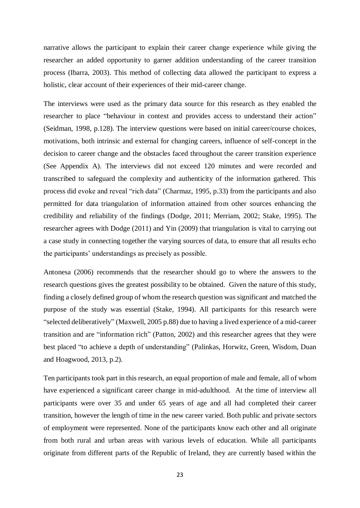narrative allows the participant to explain their career change experience while giving the researcher an added opportunity to garner addition understanding of the career transition process (Ibarra, 2003). This method of collecting data allowed the participant to express a holistic, clear account of their experiences of their mid-career change.

The interviews were used as the primary data source for this research as they enabled the researcher to place "behaviour in context and provides access to understand their action" (Seidman, 1998, p.128). The interview questions were based on initial career/course choices, motivations, both intrinsic and external for changing careers, influence of self-concept in the decision to career change and the obstacles faced throughout the career transition experience (See Appendix A). The interviews did not exceed 120 minutes and were recorded and transcribed to safeguard the complexity and authenticity of the information gathered. This process did evoke and reveal "rich data" (Charmaz, 1995, p.33) from the participants and also permitted for data triangulation of information attained from other sources enhancing the credibility and reliability of the findings (Dodge, 2011; Merriam, 2002; Stake, 1995). The researcher agrees with Dodge (2011) and Yin (2009) that triangulation is vital to carrying out a case study in connecting together the varying sources of data, to ensure that all results echo the participants' understandings as precisely as possible.

Antonesa (2006) recommends that the researcher should go to where the answers to the research questions gives the greatest possibility to be obtained. Given the nature of this study, finding a closely defined group of whom the research question was significant and matched the purpose of the study was essential (Stake, 1994). All participants for this research were "selected deliberatively" (Maxwell, 2005 p.88) due to having a lived experience of a mid-career transition and are "information rich" (Patton, 2002) and this researcher agrees that they were best placed "to achieve a depth of understanding" (Palinkas, Horwitz, Green, Wisdom, Duan and Hoagwood, 2013, p.2).

Ten participants took part in this research, an equal proportion of male and female, all of whom have experienced a significant career change in mid-adulthood. At the time of interview all participants were over 35 and under 65 years of age and all had completed their career transition, however the length of time in the new career varied. Both public and private sectors of employment were represented. None of the participants know each other and all originate from both rural and urban areas with various levels of education. While all participants originate from different parts of the Republic of Ireland, they are currently based within the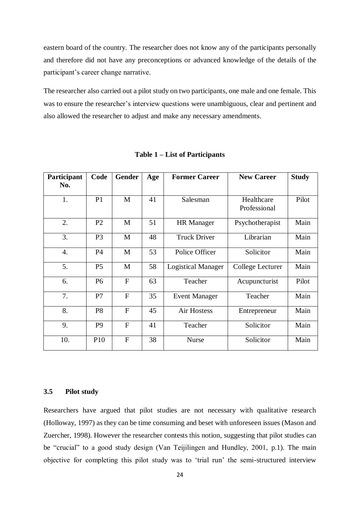eastern board of the country. The researcher does not know any of the participants personally and therefore did not have any preconceptions or advanced knowledge of the details of the participant's career change narrative.

The researcher also carried out a pilot study on two participants, one male and one female. This was to ensure the researcher's interview questions were unambiguous, clear and pertinent and also allowed the researcher to adjust and make any necessary amendments.

| Participant<br>No. | Code            | <b>Gender</b>  | Age | <b>Former Career</b>      | <b>New Career</b>          | <b>Study</b> |
|--------------------|-----------------|----------------|-----|---------------------------|----------------------------|--------------|
| 1.                 | P <sub>1</sub>  | M              | 41  | Salesman                  | Healthcare<br>Professional | Pilot        |
| 2.                 | P <sub>2</sub>  | $\mathbf{M}$   | 51  | <b>HR</b> Manager         | Psychotherapist            | Main         |
| 3.                 | P <sub>3</sub>  | M              | 48  | <b>Truck Driver</b>       | Librarian                  | Main         |
| $\overline{4}$ .   | <b>P4</b>       | M              | 53  | Police Officer            | Solicitor                  | Main         |
| 5.                 | P <sub>5</sub>  | M              | 58  | <b>Logistical Manager</b> | College Lecturer           | Main         |
| 6.                 | P <sub>6</sub>  | $\mathbf{F}$   | 63  | Teacher                   | Acupuncturist              | Pilot        |
| 7.                 | P7              | $\mathbf{F}$   | 35  | <b>Event Manager</b>      | Teacher                    | Main         |
| 8.                 | P <sub>8</sub>  | $\overline{F}$ | 45  | Air Hostess               | Entrepreneur               | Main         |
| 9.                 | P <sub>9</sub>  | $\overline{F}$ | 41  | Teacher                   | Solicitor                  | Main         |
| 10.                | P <sub>10</sub> | F              | 38  | <b>Nurse</b>              | Solicitor                  | Main         |

**Table 1 – List of Participants**

## **3.5 Pilot study**

Researchers have argued that pilot studies are not necessary with qualitative research (Holloway, 1997) as they can be time consuming and beset with unforeseen issues (Mason and Zuercher, 1998). However the researcher contests this notion, suggesting that pilot studies can be "crucial" to a good study design (Van Teijilingen and Hundley, 2001, p.1). The main objective for completing this pilot study was to 'trial run' the semi-structured interview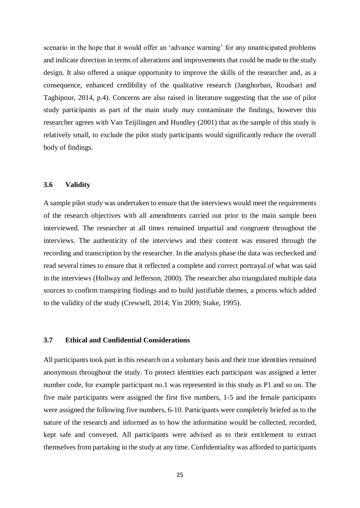scenario in the hope that it would offer an 'advance warning' for any unanticipated problems and indicate direction in terms of alterations and improvements that could be made to the study design. It also offered a unique opportunity to improve the skills of the researcher and, as a consequence, enhanced credibility of the qualitative research (Janghorban, Roudsari and Taghipour, 2014, p.4). Concerns are also raised in literature suggesting that the use of pilot study participants as part of the main study may contaminate the findings, however this researcher agrees with Van Teijilingen and Hundley (2001) that as the sample of this study is relatively small, to exclude the pilot study participants would significantly reduce the overall body of findings.

#### **3.6 Validity**

A sample pilot study was undertaken to ensure that the interviews would meet the requirements of the research objectives with all amendments carried out prior to the main sample been interviewed. The researcher at all times remained impartial and congruent throughout the interviews. The authenticity of the interviews and their content was ensured through the recording and transcription by the researcher. In the analysis phase the data was rechecked and read several times to ensure that it reflected a complete and correct portrayal of what was said in the interviews (Hollway and Jefferson, 2000). The researcher also triangulated multiple data sources to confirm transpiring findings and to build justifiable themes, a process which added to the validity of the study (Crewsell, 2014; Yin 2009; Stake, 1995).

#### **3.7 Ethical and Confidential Considerations**

All participants took part in this research on a voluntary basis and their true identities remained anonymous throughout the study. To protect identities each participant was assigned a letter number code, for example participant no.1 was represented in this study as P1 and so on. The five male participants were assigned the first five numbers, 1-5 and the female participants were assigned the following five numbers, 6-10. Participants were completely briefed as to the nature of the research and informed as to how the information would be collected, recorded, kept safe and conveyed. All participants were advised as to their entitlement to extract themselves from partaking in the study at any time. Confidentiality was afforded to participants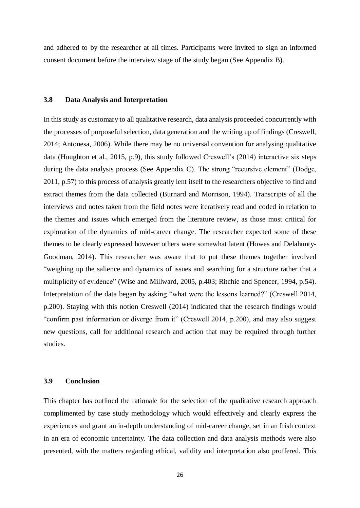and adhered to by the researcher at all times. Participants were invited to sign an informed consent document before the interview stage of the study began (See Appendix B).

#### **3.8 Data Analysis and Interpretation**

In this study as customary to all qualitative research, data analysis proceeded concurrently with the processes of purposeful selection, data generation and the writing up of findings (Creswell, 2014; Antonesa, 2006). While there may be no universal convention for analysing qualitative data (Houghton et al., 2015, p.9), this study followed Creswell's (2014) interactive six steps during the data analysis process (See Appendix C). The strong "recursive element" (Dodge, 2011, p.57) to this process of analysis greatly lent itself to the researchers objective to find and extract themes from the data collected (Burnard and Morrison, 1994). Transcripts of all the interviews and notes taken from the field notes were iteratively read and coded in relation to the themes and issues which emerged from the literature review, as those most critical for exploration of the dynamics of mid-career change. The researcher expected some of these themes to be clearly expressed however others were somewhat latent (Howes and Delahunty-Goodman, 2014). This researcher was aware that to put these themes together involved "weighing up the salience and dynamics of issues and searching for a structure rather that a multiplicity of evidence" (Wise and Millward, 2005, p.403; Ritchie and Spencer, 1994, p.54). Interpretation of the data began by asking "what were the lessons learned?" (Creswell 2014, p.200). Staying with this notion Creswell (2014) indicated that the research findings would "confirm past information or diverge from it" (Creswell 2014, p.200), and may also suggest new questions, call for additional research and action that may be required through further studies.

#### **3.9 Conclusion**

This chapter has outlined the rationale for the selection of the qualitative research approach complimented by case study methodology which would effectively and clearly express the experiences and grant an in-depth understanding of mid-career change, set in an Irish context in an era of economic uncertainty. The data collection and data analysis methods were also presented, with the matters regarding ethical, validity and interpretation also proffered. This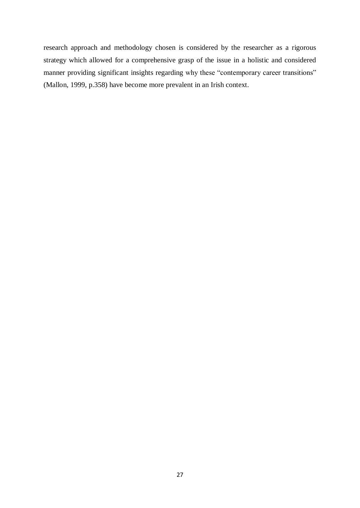research approach and methodology chosen is considered by the researcher as a rigorous strategy which allowed for a comprehensive grasp of the issue in a holistic and considered manner providing significant insights regarding why these "contemporary career transitions" (Mallon, 1999, p.358) have become more prevalent in an Irish context.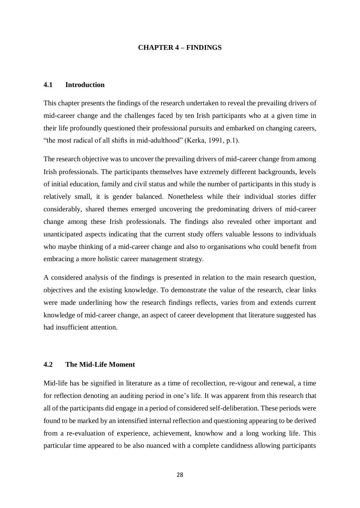#### **CHAPTER 4 – FINDINGS**

## **4.1 Introduction**

This chapter presents the findings of the research undertaken to reveal the prevailing drivers of mid-career change and the challenges faced by ten Irish participants who at a given time in their life profoundly questioned their professional pursuits and embarked on changing careers, "the most radical of all shifts in mid-adulthood" (Kerka, 1991, p.1).

The research objective was to uncover the prevailing drivers of mid-career change from among Irish professionals. The participants themselves have extremely different backgrounds, levels of initial education, family and civil status and while the number of participants in this study is relatively small, it is gender balanced. Nonetheless while their individual stories differ considerably, shared themes emerged uncovering the predominating drivers of mid-career change among these Irish professionals. The findings also revealed other important and unanticipated aspects indicating that the current study offers valuable lessons to individuals who maybe thinking of a mid-career change and also to organisations who could benefit from embracing a more holistic career management strategy.

A considered analysis of the findings is presented in relation to the main research question, objectives and the existing knowledge. To demonstrate the value of the research, clear links were made underlining how the research findings reflects, varies from and extends current knowledge of mid-career change, an aspect of career development that literature suggested has had insufficient attention.

#### **4.2 The Mid-Life Moment**

Mid-life has be signified in literature as a time of recollection, re-vigour and renewal, a time for reflection denoting an auditing period in one's life. It was apparent from this research that all of the participants did engage in a period of considered self-deliberation. These periods were found to be marked by an intensified internal reflection and questioning appearing to be derived from a re-evaluation of experience, achievement, knowhow and a long working life. This particular time appeared to be also nuanced with a complete candidness allowing participants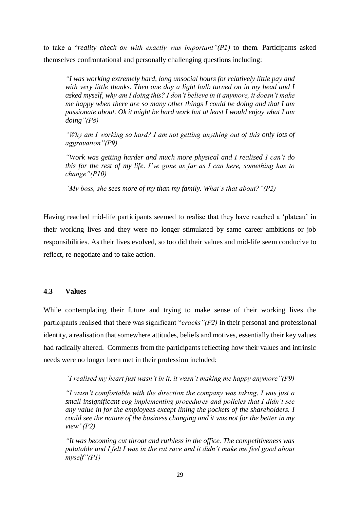to take a "*reality check on with exactly was important"(P1)* to them. Participants asked themselves confrontational and personally challenging questions including:

*"I was working extremely hard, long unsocial hours for relatively little pay and with very little thanks. Then one day a light bulb turned on in my head and I asked myself, why am I doing this? I don't believe in it anymore, it doesn't make me happy when there are so many other things I could be doing and that I am passionate about. Ok it might be hard work but at least I would enjoy what I am doing"(P8)*

*"Why am I working so hard? I am not getting anything out of this only lots of aggravation"(P9)*

*"Work was getting harder and much more physical and I realised I can't do this for the rest of my life. I've gone as far as I can here, something has to change"(P10)*

*"My boss, she sees more of my than my family. What's that about?"(P2)*

Having reached mid-life participants seemed to realise that they have reached a 'plateau' in their working lives and they were no longer stimulated by same career ambitions or job responsibilities. As their lives evolved, so too did their values and mid-life seem conducive to reflect, re-negotiate and to take action.

#### **4.3 Values**

While contemplating their future and trying to make sense of their working lives the participants realised that there was significant "*cracks"(P2)* in their personal and professional identity, a realisation that somewhere attitudes, beliefs and motives, essentially their key values had radically altered. Comments from the participants reflecting how their values and intrinsic needs were no longer been met in their profession included:

*"I realised my heart just wasn't in it, it wasn't making me happy anymore"(P9)*

*"I wasn't comfortable with the direction the company was taking. I was just a small insignificant cog implementing procedures and policies that I didn't see any value in for the employees except lining the pockets of the shareholders. I could see the nature of the business changing and it was not for the better in my view"(P2)*

*"It was becoming cut throat and ruthless in the office. The competitiveness was palatable and I felt I was in the rat race and it didn't make me feel good about myself"(P1)*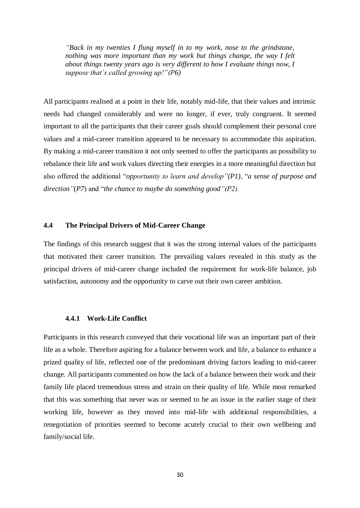*"Back in my twenties I flung myself in to my work, nose to the grindstone, nothing was more important than my work but things change, the way I felt about things twenty years ago is very different to how I evaluate things now, I suppose that's called growing up!"(P6)* 

All participants realised at a point in their life, notably mid-life, that their values and intrinsic needs had changed considerably and were no longer, if ever, truly congruent. It seemed important to all the participants that their career goals should complement their personal core values and a mid-career transition appeared to be necessary to accommodate this aspiration. By making a mid-career transition it not only seemed to offer the participants an possibility to rebalance their life and work values directing their energies in a more meaningful direction but also offered the additional "*opportunity to learn and develop"(P1)*, "*a sense of purpose and direction"*(*P7*) and "*the chance to maybe do something good"(P2).*

## **4.4 The Principal Drivers of Mid-Career Change**

The findings of this research suggest that it was the strong internal values of the participants that motivated their career transition. The prevailing values revealed in this study as the principal drivers of mid-career change included the requirement for work-life balance, job satisfaction, autonomy and the opportunity to carve out their own career ambition.

#### **4.4.1 Work-Life Conflict**

Participants in this research conveyed that their vocational life was an important part of their life as a whole. Therefore aspiring for a balance between work and life, a balance to enhance a prized quality of life, reflected one of the predominant driving factors leading to mid-career change. All participants commented on how the lack of a balance between their work and their family life placed tremendous stress and strain on their quality of life. While most remarked that this was something that never was or seemed to be an issue in the earlier stage of their working life, however as they moved into mid-life with additional responsibilities, a renegotiation of priorities seemed to become acutely crucial to their own wellbeing and family/social life.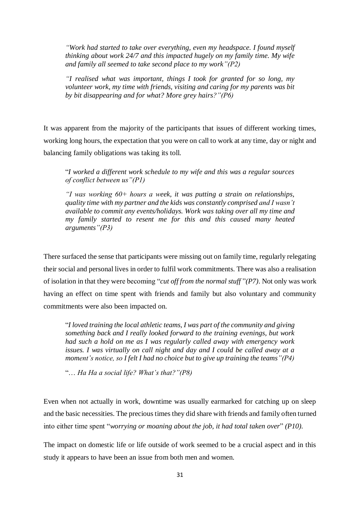*"Work had started to take over everything, even my headspace. I found myself thinking about work 24/7 and this impacted hugely on my family time. My wife and family all seemed to take second place to my work"(P2)*

*"I realised what was important, things I took for granted for so long, my volunteer work, my time with friends, visiting and caring for my parents was bit by bit disappearing and for what? More grey hairs?"(P6)*

It was apparent from the majority of the participants that issues of different working times, working long hours, the expectation that you were on call to work at any time, day or night and balancing family obligations was taking its toll.

"*I worked a different work schedule to my wife and this was a regular sources of conflict between us"(P1)*

*"I was working 60+ hours a week, it was putting a strain on relationships, quality time with my partner and the kids was constantly comprised and I wasn't available to commit any events/holidays. Work was taking over all my time and my family started to resent me for this and this caused many heated arguments"(P3)*

There surfaced the sense that participants were missing out on family time, regularly relegating their social and personal lives in order to fulfil work commitments. There was also a realisation of isolation in that they were becoming "*cut off from the normal stuff* "*(P7)*. Not only was work having an effect on time spent with friends and family but also voluntary and community commitments were also been impacted on.

"*I loved training the local athletic teams, I was part of the community and giving something back and I really looked forward to the training evenings, but work had such a hold on me as I was regularly called away with emergency work issues. I was virtually on call night and day and I could be called away at a moment's notice, so I felt I had no choice but to give up training the teams"(P4)*

"… *Ha Ha a social life? What's that?"(P8)*

Even when not actually in work, downtime was usually earmarked for catching up on sleep and the basic necessities. The precious times they did share with friends and family often turned into either time spent "*worrying or moaning about the job, it had total taken over*" *(P10).*

The impact on domestic life or life outside of work seemed to be a crucial aspect and in this study it appears to have been an issue from both men and women.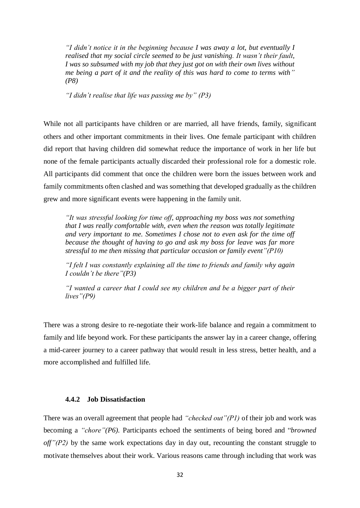*"I didn't notice it in the beginning because I was away a lot, but eventually I realised that my social circle seemed to be just vanishing. It wasn't their fault, I was so subsumed with my job that they just got on with their own lives without me being a part of it and the reality of this was hard to come to terms with" (P8)*

*"I didn't realise that life was passing me by" (P3)*

While not all participants have children or are married, all have friends, family, significant others and other important commitments in their lives. One female participant with children did report that having children did somewhat reduce the importance of work in her life but none of the female participants actually discarded their professional role for a domestic role. All participants did comment that once the children were born the issues between work and family commitments often clashed and was something that developed gradually as the children grew and more significant events were happening in the family unit.

*"It was stressful looking for time off, approaching my boss was not something that I was really comfortable with, even when the reason was totally legitimate and very important to me. Sometimes I chose not to even ask for the time off because the thought of having to go and ask my boss for leave was far more stressful to me then missing that particular occasion or family event"(P10)*

*"I felt I was constantly explaining all the time to friends and family why again I couldn't be there"(P3)* 

*"I wanted a career that I could see my children and be a bigger part of their lives"(P9)*

There was a strong desire to re-negotiate their work-life balance and regain a commitment to family and life beyond work. For these participants the answer lay in a career change, offering a mid-career journey to a career pathway that would result in less stress, better health, and a more accomplished and fulfilled life.

## **4.4.2 Job Dissatisfaction**

There was an overall agreement that people had *"checked out"(P1)* of their job and work was becoming a *"chore"(P6).* Participants echoed the sentiments of being bored and "*browned off"(P2)* by the same work expectations day in day out, recounting the constant struggle to motivate themselves about their work. Various reasons came through including that work was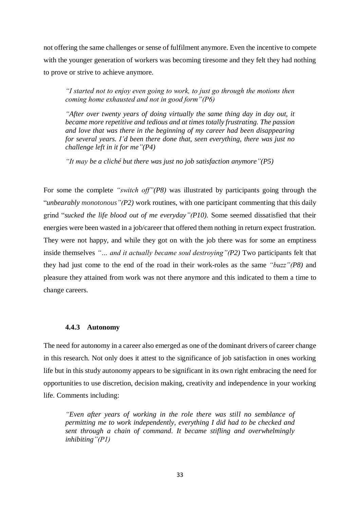not offering the same challenges or sense of fulfilment anymore. Even the incentive to compete with the younger generation of workers was becoming tiresome and they felt they had nothing to prove or strive to achieve anymore.

*"I started not to enjoy even going to work, to just go through the motions then coming home exhausted and not in good form"(P6)*

*"After over twenty years of doing virtually the same thing day in day out, it became more repetitive and tedious and at times totally frustrating. The passion and love that was there in the beginning of my career had been disappearing for several years. I'd been there done that, seen everything, there was just no challenge left in it for me"(P4)* 

*"It may be a cliché but there was just no job satisfaction anymore"(P5)*

For some the complete *"switch off"(P8)* was illustrated by participants going through the "*unbearably monotonous"(P2)* work routines, with one participant commenting that this daily grind "*sucked the life blood out of me everyday"(P10).* Some seemed dissatisfied that their energies were been wasted in a job/career that offered them nothing in return expect frustration. They were not happy, and while they got on with the job there was for some an emptiness inside themselves *"… and it actually became soul destroying"(P2)* Two participants felt that they had just come to the end of the road in their work-roles as the same *"buzz"(P8)* and pleasure they attained from work was not there anymore and this indicated to them a time to change careers.

#### **4.4.3 Autonomy**

The need for autonomy in a career also emerged as one of the dominant drivers of career change in this research. Not only does it attest to the significance of job satisfaction in ones working life but in this study autonomy appears to be significant in its own right embracing the need for opportunities to use discretion, decision making, creativity and independence in your working life. Comments including:

*"Even after years of working in the role there was still no semblance of permitting me to work independently, everything I did had to be checked and sent through a chain of command. It became stifling and overwhelmingly inhibiting"(P1)*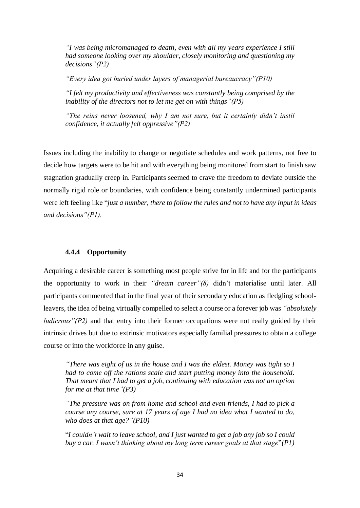*"I was being micromanaged to death, even with all my years experience I still had someone looking over my shoulder, closely monitoring and questioning my decisions"(P2)*

*"Every idea got buried under layers of managerial bureaucracy"(P10)*

*"I felt my productivity and effectiveness was constantly being comprised by the inability of the directors not to let me get on with things"(P5)*

*"The reins never loosened, why I am not sure, but it certainly didn't instil confidence, it actually felt oppressive"(P2)*

Issues including the inability to change or negotiate schedules and work patterns, not free to decide how targets were to be hit and with everything being monitored from start to finish saw stagnation gradually creep in. Participants seemed to crave the freedom to deviate outside the normally rigid role or boundaries, with confidence being constantly undermined participants were left feeling like "*just a number, there to follow the rules and not to have any input in ideas and decisions"(P1).*

# **4.4.4 Opportunity**

Acquiring a desirable career is something most people strive for in life and for the participants the opportunity to work in their *"dream career"(8)* didn't materialise until later. All participants commented that in the final year of their secondary education as fledgling schoolleavers, the idea of being virtually compelled to select a course or a forever job was *"absolutely ludicrous"(P2)* and that entry into their former occupations were not really guided by their intrinsic drives but due to extrinsic motivators especially familial pressures to obtain a college course or into the workforce in any guise.

*"There was eight of us in the house and I was the eldest. Money was tight so I had to come off the rations scale and start putting money into the household. That meant that I had to get a job, continuing with education was not an option for me at that time"(P3)*

*"The pressure was on from home and school and even friends, I had to pick a course any course, sure at 17 years of age I had no idea what I wanted to do, who does at that age?"(P10)*

"*I couldn't wait to leave school, and I just wanted to get a job any job so I could buy a car. I wasn't thinking about my long term career goals at that stage*"*(P1)*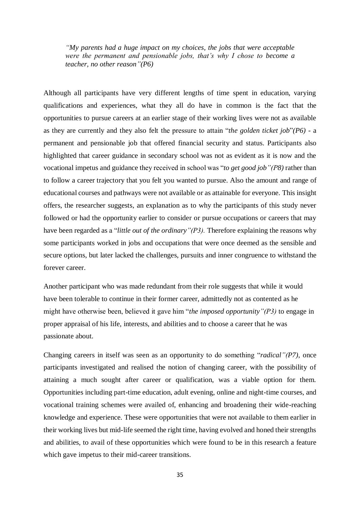*"My parents had a huge impact on my choices, the jobs that were acceptable were the permanent and pensionable jobs, that's why I chose to become a teacher, no other reason"(P6)*

Although all participants have very different lengths of time spent in education, varying qualifications and experiences, what they all do have in common is the fact that the opportunities to pursue careers at an earlier stage of their working lives were not as available as they are currently and they also felt the pressure to attain "*the golden ticket job*"*(P6)* - a permanent and pensionable job that offered financial security and status. Participants also highlighted that career guidance in secondary school was not as evident as it is now and the vocational impetus and guidance they received in school was "*to get good job"(P8)* rather than to follow a career trajectory that you felt you wanted to pursue. Also the amount and range of educational courses and pathways were not available or as attainable for everyone. This insight offers, the researcher suggests, an explanation as to why the participants of this study never followed or had the opportunity earlier to consider or pursue occupations or careers that may have been regarded as a "*little out of the ordinary"(P3).* Therefore explaining the reasons why some participants worked in jobs and occupations that were once deemed as the sensible and secure options, but later lacked the challenges, pursuits and inner congruence to withstand the forever career.

Another participant who was made redundant from their role suggests that while it would have been tolerable to continue in their former career, admittedly not as contented as he might have otherwise been, believed it gave him "*the imposed opportunity"(P3)* to engage in proper appraisal of his life, interests, and abilities and to choose a career that he was passionate about.

Changing careers in itself was seen as an opportunity to do something "*radical"(P7)*, once participants investigated and realised the notion of changing career, with the possibility of attaining a much sought after career or qualification, was a viable option for them. Opportunities including part-time education, adult evening, online and night-time courses, and vocational training schemes were availed of, enhancing and broadening their wide-reaching knowledge and experience. These were opportunities that were not available to them earlier in their working lives but mid-life seemed the right time, having evolved and honed their strengths and abilities, to avail of these opportunities which were found to be in this research a feature which gave impetus to their mid-career transitions.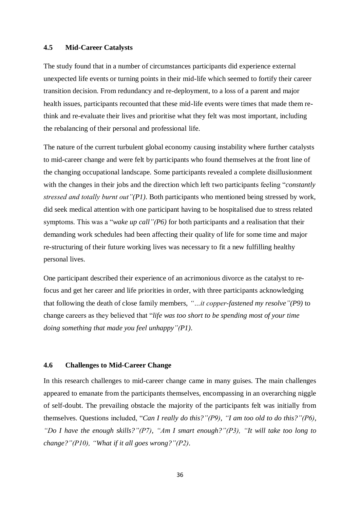#### **4.5 Mid-Career Catalysts**

The study found that in a number of circumstances participants did experience external unexpected life events or turning points in their mid-life which seemed to fortify their career transition decision. From redundancy and re-deployment, to a loss of a parent and major health issues, participants recounted that these mid-life events were times that made them rethink and re-evaluate their lives and prioritise what they felt was most important, including the rebalancing of their personal and professional life.

The nature of the current turbulent global economy causing instability where further catalysts to mid-career change and were felt by participants who found themselves at the front line of the changing occupational landscape. Some participants revealed a complete disillusionment with the changes in their jobs and the direction which left two participants feeling "*constantly stressed and totally burnt out"(P1)*. Both participants who mentioned being stressed by work, did seek medical attention with one participant having to be hospitalised due to stress related symptoms. This was a "*wake up call"(P6)* for both participants and a realisation that their demanding work schedules had been affecting their quality of life for some time and major re-structuring of their future working lives was necessary to fit a new fulfilling healthy personal lives.

One participant described their experience of an acrimonious divorce as the catalyst to refocus and get her career and life priorities in order, with three participants acknowledging that following the death of close family members, *"…it copper-fastened my resolve"(P9)* to change careers as they believed that "*life was too short to be spending most of your time doing something that made you feel unhappy"(P1)*.

#### **4.6 Challenges to Mid-Career Change**

In this research challenges to mid-career change came in many guises. The main challenges appeared to emanate from the participants themselves, encompassing in an overarching niggle of self-doubt. The prevailing obstacle the majority of the participants felt was initially from themselves. Questions included, "*Can I really do this?"(P9), "I am too old to do this?"(P6), "Do I have the enough skills?"(P7), "Am I smart enough?"(P3), "It will take too long to change?"(P10), "What if it all goes wrong?"(P2).*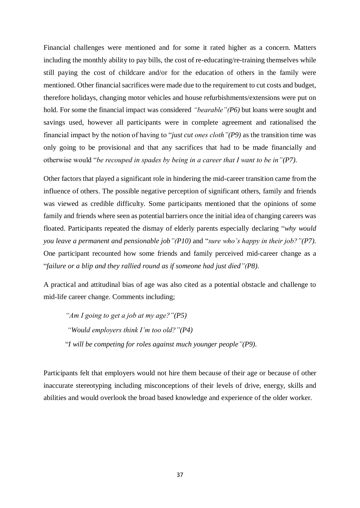Financial challenges were mentioned and for some it rated higher as a concern. Matters including the monthly ability to pay bills, the cost of re-educating/re-training themselves while still paying the cost of childcare and/or for the education of others in the family were mentioned. Other financial sacrifices were made due to the requirement to cut costs and budget, therefore holidays, changing motor vehicles and house refurbishments/extensions were put on hold. For some the financial impact was considered *"bearable"(P6)* but loans were sought and savings used, however all participants were in complete agreement and rationalised the financial impact by the notion of having to "*just cut ones cloth"(P9)* as the transition time was only going to be provisional and that any sacrifices that had to be made financially and otherwise would "*be recouped in spades by being in a career that I want to be in"(P7).*

Other factors that played a significant role in hindering the mid-career transition came from the influence of others. The possible negative perception of significant others, family and friends was viewed as credible difficulty. Some participants mentioned that the opinions of some family and friends where seen as potential barriers once the initial idea of changing careers was floated. Participants repeated the dismay of elderly parents especially declaring "*why would you leave a permanent and pensionable job"(P10)* and "*sure who's happy in their job?"(P7).*  One participant recounted how some friends and family perceived mid-career change as a "*failure or a blip and they rallied round as if someone had just died"(P8).*

A practical and attitudinal bias of age was also cited as a potential obstacle and challenge to mid-life career change. Comments including;

*"Am I going to get a job at my age?"(P5) "Would employers think I'm too old?"(P4)* "*I will be competing for roles against much younger people"(P9).*

Participants felt that employers would not hire them because of their age or because of other inaccurate stereotyping including misconceptions of their levels of drive, energy, skills and abilities and would overlook the broad based knowledge and experience of the older worker.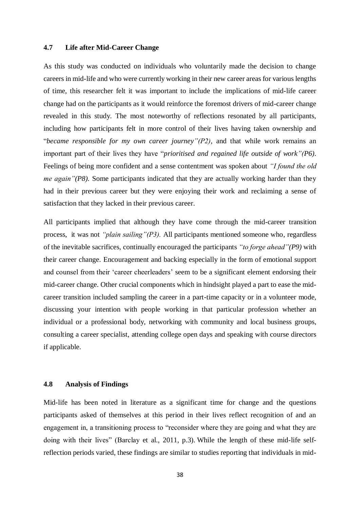## **4.7 Life after Mid-Career Change**

As this study was conducted on individuals who voluntarily made the decision to change careers in mid-life and who were currently working in their new career areas for various lengths of time, this researcher felt it was important to include the implications of mid-life career change had on the participants as it would reinforce the foremost drivers of mid-career change revealed in this study. The most noteworthy of reflections resonated by all participants, including how participants felt in more control of their lives having taken ownership and "*became responsible for my own career journey"(P2),* and that while work remains an important part of their lives they have "*prioritised and regained life outside of work"(P6)*. Feelings of being more confident and a sense contentment was spoken about *"I found the old me again"(P8).* Some participants indicated that they are actually working harder than they had in their previous career but they were enjoying their work and reclaiming a sense of satisfaction that they lacked in their previous career.

All participants implied that although they have come through the mid-career transition process, it was not *"plain sailing"(P3).* All participants mentioned someone who, regardless of the inevitable sacrifices, continually encouraged the participants *"to forge ahead"(P9)* with their career change. Encouragement and backing especially in the form of emotional support and counsel from their 'career cheerleaders' seem to be a significant element endorsing their mid-career change. Other crucial components which in hindsight played a part to ease the midcareer transition included sampling the career in a part-time capacity or in a volunteer mode, discussing your intention with people working in that particular profession whether an individual or a professional body, networking with community and local business groups, consulting a career specialist, attending college open days and speaking with course directors if applicable.

#### **4.8 Analysis of Findings**

Mid-life has been noted in literature as a significant time for change and the questions participants asked of themselves at this period in their lives reflect recognition of and an engagement in, a transitioning process to "reconsider where they are going and what they are doing with their lives" (Barclay et al., 2011, p.3). While the length of these mid-life selfreflection periods varied, these findings are similar to studies reporting that individuals in mid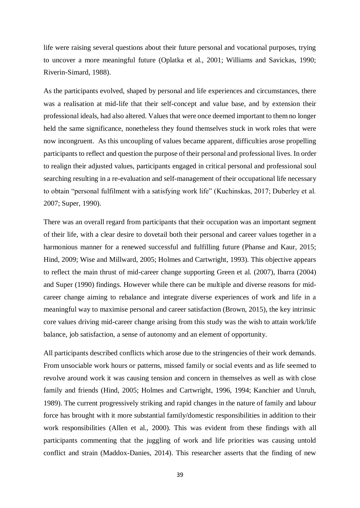life were raising several questions about their future personal and vocational purposes, trying to uncover a more meaningful future (Oplatka et al., 2001; Williams and Savickas, 1990; Riverin-Simard, 1988).

As the participants evolved, shaped by personal and life experiences and circumstances, there was a realisation at mid-life that their self-concept and value base, and by extension their professional ideals, had also altered. Values that were once deemed important to them no longer held the same significance, nonetheless they found themselves stuck in work roles that were now incongruent. As this uncoupling of values became apparent, difficulties arose propelling participants to reflect and question the purpose of their personal and professional lives. In order to realign their adjusted values, participants engaged in critical personal and professional soul searching resulting in a re-evaluation and self-management of their occupational life necessary to obtain "personal fulfilment with a satisfying work life" (Kuchinskas, 2017; Duberley et al. 2007; Super, 1990).

There was an overall regard from participants that their occupation was an important segment of their life, with a clear desire to dovetail both their personal and career values together in a harmonious manner for a renewed successful and fulfilling future (Phanse and Kaur, 2015; Hind, 2009; Wise and Millward, 2005; Holmes and Cartwright, 1993). This objective appears to reflect the main thrust of mid-career change supporting Green et al. (2007), Ibarra (2004) and Super (1990) findings. However while there can be multiple and diverse reasons for midcareer change aiming to rebalance and integrate diverse experiences of work and life in a meaningful way to maximise personal and career satisfaction (Brown, 2015), the key intrinsic core values driving mid-career change arising from this study was the wish to attain work/life balance, job satisfaction, a sense of autonomy and an element of opportunity.

All participants described conflicts which arose due to the stringencies of their work demands. From unsociable work hours or patterns, missed family or social events and as life seemed to revolve around work it was causing tension and concern in themselves as well as with close family and friends (Hind, 2005; Holmes and Cartwright, 1996, 1994; Kanchier and Unruh, 1989). The current progressively striking and rapid changes in the nature of family and labour force has brought with it more substantial family/domestic responsibilities in addition to their work responsibilities (Allen et al., 2000). This was evident from these findings with all participants commenting that the juggling of work and life priorities was causing untold conflict and strain (Maddox-Danies, 2014). This researcher asserts that the finding of new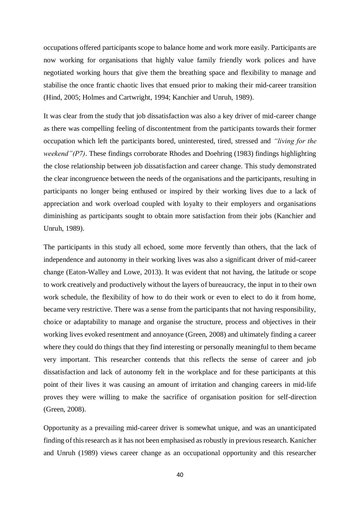occupations offered participants scope to balance home and work more easily. Participants are now working for organisations that highly value family friendly work polices and have negotiated working hours that give them the breathing space and flexibility to manage and stabilise the once frantic chaotic lives that ensued prior to making their mid-career transition (Hind, 2005; Holmes and Cartwright, 1994; Kanchier and Unruh, 1989).

It was clear from the study that job dissatisfaction was also a key driver of mid-career change as there was compelling feeling of discontentment from the participants towards their former occupation which left the participants bored, uninterested, tired, stressed and *"living for the weekend"(P7)*. These findings corroborate Rhodes and Doehring (1983) findings highlighting the close relationship between job dissatisfaction and career change. This study demonstrated the clear incongruence between the needs of the organisations and the participants, resulting in participants no longer being enthused or inspired by their working lives due to a lack of appreciation and work overload coupled with loyalty to their employers and organisations diminishing as participants sought to obtain more satisfaction from their jobs (Kanchier and Unruh, 1989).

The participants in this study all echoed, some more fervently than others, that the lack of independence and autonomy in their working lives was also a significant driver of mid-career change (Eaton-Walley and Lowe, 2013). It was evident that not having, the latitude or scope to work creatively and productively without the layers of bureaucracy, the input in to their own work schedule, the flexibility of how to do their work or even to elect to do it from home, became very restrictive. There was a sense from the participants that not having responsibility, choice or adaptability to manage and organise the structure, process and objectives in their working lives evoked resentment and annoyance (Green, 2008) and ultimately finding a career where they could do things that they find interesting or personally meaningful to them became very important. This researcher contends that this reflects the sense of career and job dissatisfaction and lack of autonomy felt in the workplace and for these participants at this point of their lives it was causing an amount of irritation and changing careers in mid-life proves they were willing to make the sacrifice of organisation position for self-direction (Green, 2008).

Opportunity as a prevailing mid-career driver is somewhat unique, and was an unanticipated finding of this research as it has not been emphasised as robustly in previous research. Kanicher and Unruh (1989) views career change as an occupational opportunity and this researcher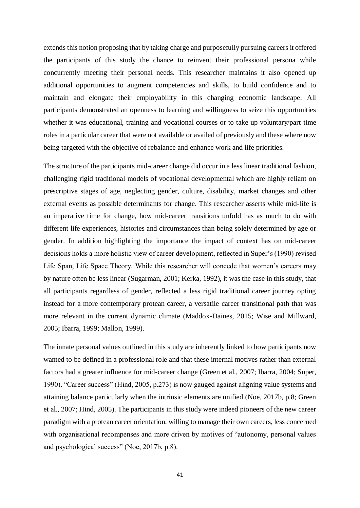extends this notion proposing that by taking charge and purposefully pursuing careers it offered the participants of this study the chance to reinvent their professional persona while concurrently meeting their personal needs. This researcher maintains it also opened up additional opportunities to augment competencies and skills, to build confidence and to maintain and elongate their employability in this changing economic landscape. All participants demonstrated an openness to learning and willingness to seize this opportunities whether it was educational, training and vocational courses or to take up voluntary/part time roles in a particular career that were not available or availed of previously and these where now being targeted with the objective of rebalance and enhance work and life priorities.

The structure of the participants mid-career change did occur in a less linear traditional fashion, challenging rigid traditional models of vocational developmental which are highly reliant on prescriptive stages of age, neglecting gender, culture, disability, market changes and other external events as possible determinants for change. This researcher asserts while mid-life is an imperative time for change, how mid-career transitions unfold has as much to do with different life experiences, histories and circumstances than being solely determined by age or gender. In addition highlighting the importance the impact of context has on mid-career decisions holds a more holistic view of career development, reflected in Super's (1990) revised Life Span, Life Space Theory. While this researcher will concede that women's careers may by nature often be less linear (Sugarman, 2001; Kerka, 1992), it was the case in this study, that all participants regardless of gender, reflected a less rigid traditional career journey opting instead for a more contemporary protean career, a versatile career transitional path that was more relevant in the current dynamic climate (Maddox-Daines, 2015; Wise and Millward, 2005; Ibarra, 1999; Mallon, 1999).

The innate personal values outlined in this study are inherently linked to how participants now wanted to be defined in a professional role and that these internal motives rather than external factors had a greater influence for mid-career change (Green et al., 2007; Ibarra, 2004; Super, 1990). "Career success" (Hind, 2005, p.273) is now gauged against aligning value systems and attaining balance particularly when the intrinsic elements are unified (Noe, 2017b, p.8; Green et al., 2007; Hind, 2005). The participants in this study were indeed pioneers of the new career paradigm with a protean career orientation, willing to manage their own careers, less concerned with organisational recompenses and more driven by motives of "autonomy, personal values and psychological success" (Noe, 2017b, p.8).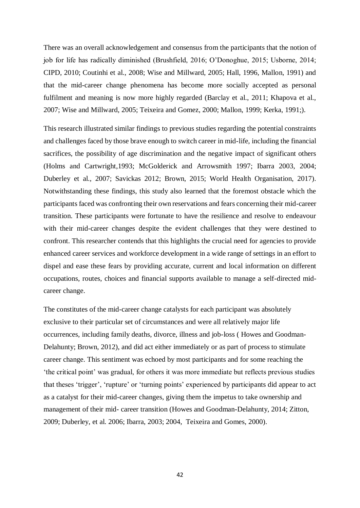There was an overall acknowledgement and consensus from the participants that the notion of job for life has radically diminished (Brushfield, 2016; O'Donoghue, 2015; Usborne, 2014; CIPD, 2010; Coutinhi et al., 2008; Wise and Millward, 2005; Hall, 1996, Mallon, 1991) and that the mid-career change phenomena has become more socially accepted as personal fulfilment and meaning is now more highly regarded (Barclay et al., 2011; Khapova et al., 2007; Wise and Millward, 2005; Teixeira and Gomez, 2000; Mallon, 1999; Kerka, 1991;).

This research illustrated similar findings to previous studies regarding the potential constraints and challenges faced by those brave enough to switch career in mid-life, including the financial sacrifices, the possibility of age discrimination and the negative impact of significant others (Holms and Cartwright,1993; McGolderick and Arrowsmith 1997; Ibarra 2003, 2004; Duberley et al., 2007; Savickas 2012; Brown, 2015; World Health Organisation, 2017). Notwithstanding these findings, this study also learned that the foremost obstacle which the participants faced was confronting their own reservations and fears concerning their mid-career transition. These participants were fortunate to have the resilience and resolve to endeavour with their mid-career changes despite the evident challenges that they were destined to confront. This researcher contends that this highlights the crucial need for agencies to provide enhanced career services and workforce development in a wide range of settings in an effort to dispel and ease these fears by providing accurate, current and local information on different occupations, routes, choices and financial supports available to manage a self-directed midcareer change.

The constitutes of the mid-career change catalysts for each participant was absolutely exclusive to their particular set of circumstances and were all relatively major life occurrences, including family deaths, divorce, illness and job-loss ( Howes and Goodman-Delahunty; Brown, 2012), and did act either immediately or as part of process to stimulate career change. This sentiment was echoed by most participants and for some reaching the 'the critical point' was gradual, for others it was more immediate but reflects previous studies that theses 'trigger', 'rupture' or 'turning points' experienced by participants did appear to act as a catalyst for their mid-career changes, giving them the impetus to take ownership and management of their mid- career transition (Howes and Goodman-Delahunty, 2014; Zitton, 2009; Duberley, et al. 2006; Ibarra, 2003; 2004, Teixeira and Gomes, 2000).

42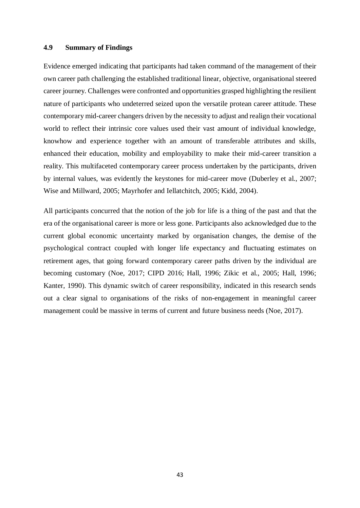## **4.9 Summary of Findings**

Evidence emerged indicating that participants had taken command of the management of their own career path challenging the established traditional linear, objective, organisational steered career journey. Challenges were confronted and opportunities grasped highlighting the resilient nature of participants who undeterred seized upon the versatile protean career attitude. These contemporary mid-career changers driven by the necessity to adjust and realign their vocational world to reflect their intrinsic core values used their vast amount of individual knowledge, knowhow and experience together with an amount of transferable attributes and skills, enhanced their education, mobility and employability to make their mid-career transition a reality. This multifaceted contemporary career process undertaken by the participants, driven by internal values, was evidently the keystones for mid-career move (Duberley et al., 2007; Wise and Millward, 2005; Mayrhofer and Iellatchitch, 2005; Kidd, 2004).

All participants concurred that the notion of the job for life is a thing of the past and that the era of the organisational career is more or less gone. Participants also acknowledged due to the current global economic uncertainty marked by organisation changes, the demise of the psychological contract coupled with longer life expectancy and fluctuating estimates on retirement ages, that going forward contemporary career paths driven by the individual are becoming customary (Noe, 2017; CIPD 2016; Hall, 1996; Zikic et al., 2005; Hall, 1996; Kanter, 1990). This dynamic switch of career responsibility, indicated in this research sends out a clear signal to organisations of the risks of non-engagement in meaningful career management could be massive in terms of current and future business needs (Noe, 2017).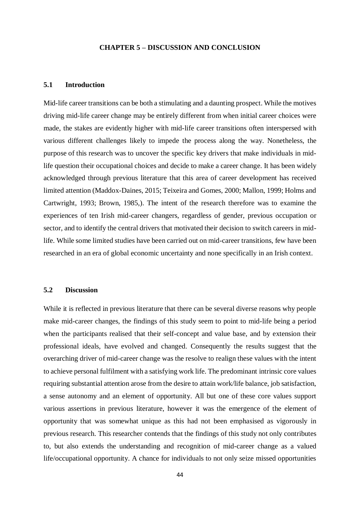#### **CHAPTER 5 – DISCUSSION AND CONCLUSION**

## **5.1 Introduction**

Mid-life career transitions can be both a stimulating and a daunting prospect. While the motives driving mid-life career change may be entirely different from when initial career choices were made, the stakes are evidently higher with mid-life career transitions often interspersed with various different challenges likely to impede the process along the way. Nonetheless, the purpose of this research was to uncover the specific key drivers that make individuals in midlife question their occupational choices and decide to make a career change. It has been widely acknowledged through previous literature that this area of career development has received limited attention (Maddox-Daines, 2015; Teixeira and Gomes, 2000; Mallon, 1999; Holms and Cartwright, 1993; Brown, 1985,). The intent of the research therefore was to examine the experiences of ten Irish mid-career changers, regardless of gender, previous occupation or sector, and to identify the central drivers that motivated their decision to switch careers in midlife. While some limited studies have been carried out on mid-career transitions, few have been researched in an era of global economic uncertainty and none specifically in an Irish context.

## **5.2 Discussion**

While it is reflected in previous literature that there can be several diverse reasons why people make mid-career changes, the findings of this study seem to point to mid-life being a period when the participants realised that their self-concept and value base, and by extension their professional ideals, have evolved and changed. Consequently the results suggest that the overarching driver of mid-career change was the resolve to realign these values with the intent to achieve personal fulfilment with a satisfying work life. The predominant intrinsic core values requiring substantial attention arose from the desire to attain work/life balance, job satisfaction, a sense autonomy and an element of opportunity. All but one of these core values support various assertions in previous literature, however it was the emergence of the element of opportunity that was somewhat unique as this had not been emphasised as vigorously in previous research. This researcher contends that the findings of this study not only contributes to, but also extends the understanding and recognition of mid-career change as a valued life/occupational opportunity. A chance for individuals to not only seize missed opportunities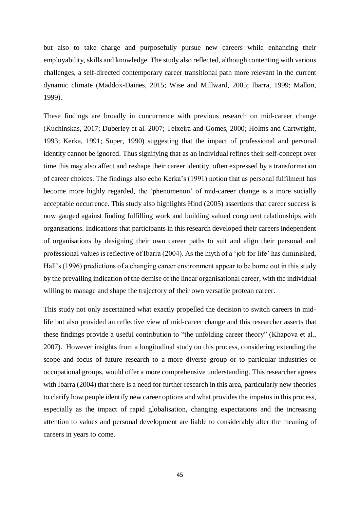but also to take charge and purposefully pursue new careers while enhancing their employability, skills and knowledge. The study also reflected, although contenting with various challenges, a self-directed contemporary career transitional path more relevant in the current dynamic climate (Maddox-Daines, 2015; Wise and Millward, 2005; Ibarra, 1999; Mallon, 1999).

These findings are broadly in concurrence with previous research on mid-career change (Kuchinskas, 2017; Duberley et al. 2007; Teixeira and Gomes, 2000; Holms and Cartwright, 1993; Kerka, 1991; Super, 1990) suggesting that the impact of professional and personal identity cannot be ignored. Thus signifying that as an individual refines their self-concept over time this may also affect and reshape their career identity, often expressed by a transformation of career choices. The findings also echo Kerka's (1991) notion that as personal fulfilment has become more highly regarded, the 'phenomenon' of mid-career change is a more socially acceptable occurrence. This study also highlights Hind (2005) assertions that career success is now gauged against finding fulfilling work and building valued congruent relationships with organisations. Indications that participants in this research developed their careers independent of organisations by designing their own career paths to suit and align their personal and professional values is reflective of Ibarra (2004). As the myth of a 'job for life' has diminished, Hall's (1996) predictions of a changing career environment appear to be borne out in this study by the prevailing indication of the demise of the linear organisational career, with the individual willing to manage and shape the trajectory of their own versatile protean career.

This study not only ascertained what exactly propelled the decision to switch careers in midlife but also provided an reflective view of mid-career change and this researcher asserts that these findings provide a useful contribution to "the unfolding career theory" (Khapova et al., 2007). However insights from a longitudinal study on this process, considering extending the scope and focus of future research to a more diverse group or to particular industries or occupational groups, would offer a more comprehensive understanding. This researcher agrees with Ibarra (2004) that there is a need for further research in this area, particularly new theories to clarify how people identify new career options and what provides the impetus in this process, especially as the impact of rapid globalisation, changing expectations and the increasing attention to values and personal development are liable to considerably alter the meaning of careers in years to come.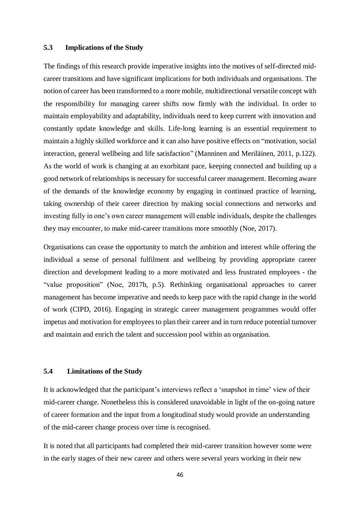## **5.3 Implications of the Study**

The findings of this research provide imperative insights into the motives of self-directed midcareer transitions and have significant implications for both individuals and organisations. The notion of career has been transformed to a more mobile, multidirectional versatile concept with the responsibility for managing career shifts now firmly with the individual. In order to maintain employability and adaptability, individuals need to keep current with innovation and constantly update knowledge and skills. Life-long learning is an essential requirement to maintain a highly skilled workforce and it can also have positive effects on "motivation, social interaction, general wellbeing and life satisfaction" (Manninen and Meriläinen, 2011, p.122). As the world of work is changing at an exorbitant pace, keeping connected and building up a good network of relationships is necessary for successful career management. Becoming aware of the demands of the knowledge economy by engaging in continued practice of learning, taking ownership of their career direction by making social connections and networks and investing fully in one's own career management will enable individuals, despite the challenges they may encounter, to make mid-career transitions more smoothly (Noe, 2017).

Organisations can cease the opportunity to match the ambition and interest while offering the individual a sense of personal fulfilment and wellbeing by providing appropriate career direction and development leading to a more motivated and less frustrated employees - the "value proposition" (Noe, 2017b, p.5). Rethinking organisational approaches to career management has become imperative and needs to keep pace with the rapid change in the world of work (CIPD, 2016). Engaging in strategic career management programmes would offer impetus and motivation for employees to plan their career and in turn reduce potential turnover and maintain and enrich the talent and succession pool within an organisation.

#### **5.4 Limitations of the Study**

It is acknowledged that the participant's interviews reflect a 'snapshot in time' view of their mid-career change. Nonetheless this is considered unavoidable in light of the on-going nature of career formation and the input from a longitudinal study would provide an understanding of the mid-career change process over time is recognised.

It is noted that all participants had completed their mid-career transition however some were in the early stages of their new career and others were several years working in their new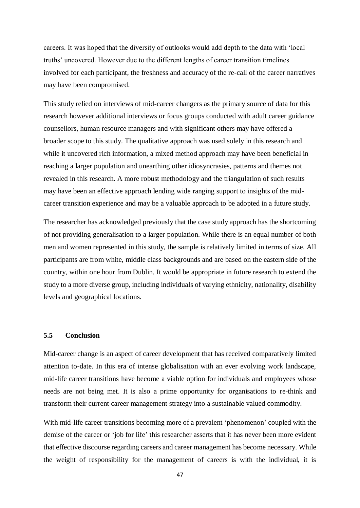careers. It was hoped that the diversity of outlooks would add depth to the data with 'local truths' uncovered. However due to the different lengths of career transition timelines involved for each participant, the freshness and accuracy of the re-call of the career narratives may have been compromised.

This study relied on interviews of mid-career changers as the primary source of data for this research however additional interviews or focus groups conducted with adult career guidance counsellors, human resource managers and with significant others may have offered a broader scope to this study. The qualitative approach was used solely in this research and while it uncovered rich information, a mixed method approach may have been beneficial in reaching a larger population and unearthing other idiosyncrasies, patterns and themes not revealed in this research. A more robust methodology and the triangulation of such results may have been an effective approach lending wide ranging support to insights of the midcareer transition experience and may be a valuable approach to be adopted in a future study.

The researcher has acknowledged previously that the case study approach has the shortcoming of not providing generalisation to a larger population. While there is an equal number of both men and women represented in this study, the sample is relatively limited in terms of size. All participants are from white, middle class backgrounds and are based on the eastern side of the country, within one hour from Dublin. It would be appropriate in future research to extend the study to a more diverse group, including individuals of varying ethnicity, nationality, disability levels and geographical locations.

#### **5.5 Conclusion**

Mid-career change is an aspect of career development that has received comparatively limited attention to-date. In this era of intense globalisation with an ever evolving work landscape, mid-life career transitions have become a viable option for individuals and employees whose needs are not being met. It is also a prime opportunity for organisations to re-think and transform their current career management strategy into a sustainable valued commodity.

With mid-life career transitions becoming more of a prevalent 'phenomenon' coupled with the demise of the career or 'job for life' this researcher asserts that it has never been more evident that effective discourse regarding careers and career management has become necessary. While the weight of responsibility for the management of careers is with the individual, it is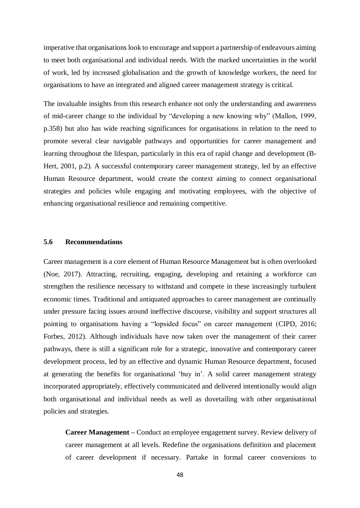imperative that organisations look to encourage and support a partnership of endeavours aiming to meet both organisational and individual needs. With the marked uncertainties in the world of work, led by increased globalisation and the growth of knowledge workers, the need for organisations to have an integrated and aligned career management strategy is critical.

The invaluable insights from this research enhance not only the understanding and awareness of mid-career change to the individual by "developing a new knowing why" (Mallon, 1999, p.358) but also has wide reaching significances for organisations in relation to the need to promote several clear navigable pathways and opportunities for career management and learning throughout the lifespan, particularly in this era of rapid change and development (B-Hert, 2001, p.2). A successful contemporary career management strategy, led by an effective Human Resource department, would create the context aiming to connect organisational strategies and policies while engaging and motivating employees, with the objective of enhancing organisational resilience and remaining competitive.

## **5.6 Recommendations**

Career management is a core element of Human Resource Management but is often overlooked (Noe, 2017). Attracting, recruiting, engaging, developing and retaining a workforce can strengthen the resilience necessary to withstand and compete in these increasingly turbulent economic times. Traditional and antiquated approaches to career management are continually under pressure facing issues around ineffective discourse, visibility and support structures all pointing to organisations having a "lopsided focus" on career management (CIPD, 2016; Forbes, 2012). Although individuals have now taken over the management of their career pathways, there is still a significant role for a strategic, innovative and contemporary career development process, led by an effective and dynamic Human Resource department, focused at generating the benefits for organisational 'buy in'. A solid career management strategy incorporated appropriately, effectively communicated and delivered intentionally would align both organisational and individual needs as well as dovetailing with other organisational policies and strategies.

**Career Management –** Conduct an employee engagement survey. Review delivery of career management at all levels. Redefine the organisations definition and placement of career development if necessary. Partake in formal career conversions to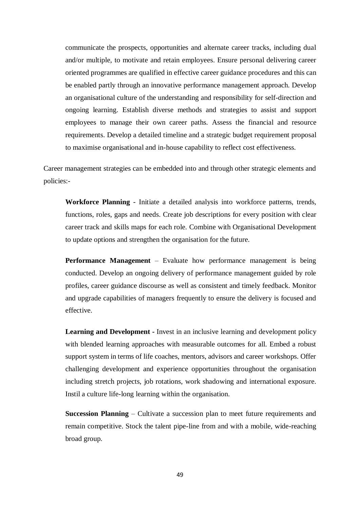communicate the prospects, opportunities and alternate career tracks, including dual and/or multiple, to motivate and retain employees. Ensure personal delivering career oriented programmes are qualified in effective career guidance procedures and this can be enabled partly through an innovative performance management approach. Develop an organisational culture of the understanding and responsibility for self-direction and ongoing learning. Establish diverse methods and strategies to assist and support employees to manage their own career paths. Assess the financial and resource requirements. Develop a detailed timeline and a strategic budget requirement proposal to maximise organisational and in-house capability to reflect cost effectiveness.

Career management strategies can be embedded into and through other strategic elements and policies:-

**Workforce Planning** - Initiate a detailed analysis into workforce patterns, trends, functions, roles, gaps and needs. Create job descriptions for every position with clear career track and skills maps for each role. Combine with Organisational Development to update options and strengthen the organisation for the future.

**Performance Management** – Evaluate how performance management is being conducted. Develop an ongoing delivery of performance management guided by role profiles, career guidance discourse as well as consistent and timely feedback. Monitor and upgrade capabilities of managers frequently to ensure the delivery is focused and effective.

**Learning and Development -** Invest in an inclusive learning and development policy with blended learning approaches with measurable outcomes for all. Embed a robust support system in terms of life coaches, mentors, advisors and career workshops. Offer challenging development and experience opportunities throughout the organisation including stretch projects, job rotations, work shadowing and international exposure. Instil a culture life-long learning within the organisation.

**Succession Planning** – Cultivate a succession plan to meet future requirements and remain competitive. Stock the talent pipe-line from and with a mobile, wide-reaching broad group.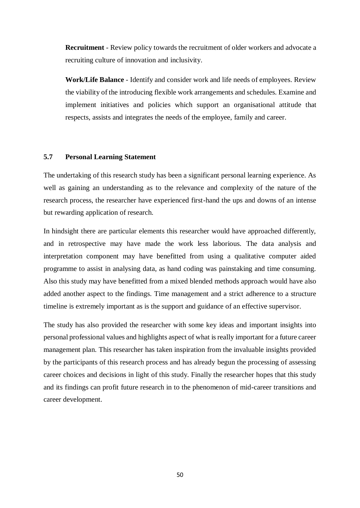**Recruitment** - Review policy towards the recruitment of older workers and advocate a recruiting culture of innovation and inclusivity.

**Work/Life Balance** - Identify and consider work and life needs of employees. Review the viability of the introducing flexible work arrangements and schedules. Examine and implement initiatives and policies which support an organisational attitude that respects, assists and integrates the needs of the employee, family and career.

## **5.7 Personal Learning Statement**

The undertaking of this research study has been a significant personal learning experience. As well as gaining an understanding as to the relevance and complexity of the nature of the research process, the researcher have experienced first-hand the ups and downs of an intense but rewarding application of research.

In hindsight there are particular elements this researcher would have approached differently, and in retrospective may have made the work less laborious. The data analysis and interpretation component may have benefitted from using a qualitative computer aided programme to assist in analysing data, as hand coding was painstaking and time consuming. Also this study may have benefitted from a mixed blended methods approach would have also added another aspect to the findings. Time management and a strict adherence to a structure timeline is extremely important as is the support and guidance of an effective supervisor.

The study has also provided the researcher with some key ideas and important insights into personal professional values and highlights aspect of what is really important for a future career management plan. This researcher has taken inspiration from the invaluable insights provided by the participants of this research process and has already begun the processing of assessing career choices and decisions in light of this study. Finally the researcher hopes that this study and its findings can profit future research in to the phenomenon of mid-career transitions and career development.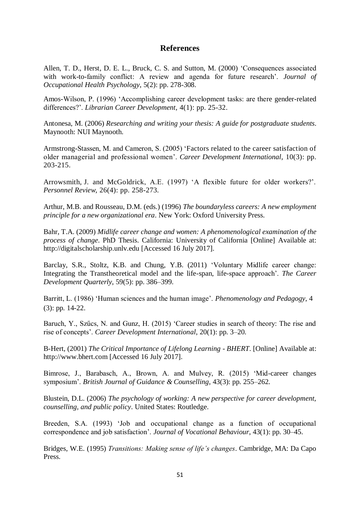# **References**

Allen, T. D., Herst, D. E. L., Bruck, C. S. and Sutton, M. (2000) 'Consequences associated with work-to-family conflict: A review and agenda for future research'. *Journal of Occupational Health Psychology*, 5(2): pp. 278-308.

Amos-Wilson, P. (1996) 'Accomplishing career development tasks: are there gender-related differences?'. *Librarian Career Development*, 4(1): pp. 25-32.

Antonesa, M. (2006) *Researching and writing your thesis: A guide for postgraduate students*. Maynooth: NUI Maynooth.

Armstrong-Stassen, M. and Cameron, S. (2005) 'Factors related to the career satisfaction of older managerial and professional women'. *Career Development International*, 10(3): pp. 203-215.

[Arrowsmith,](http://www.emeraldinsight.com/author/Arrowsmith%2C+James) J. and [McGoldrick,](http://www.emeraldinsight.com/author/McGoldrick%2C+Ann+E) A.E. (1997) 'A flexible future for older workers?'. *Personnel Review*, 26(4): pp. 258-273.

Arthur, M.B. and Rousseau, D.M. (eds.) (1996) *The boundaryless careers: A new employment principle for a new organizational era*. New York: Oxford University Press.

Bahr, T.A. (2009) *[Midlife career change and women: A phenomenological examination](http://digitalscholarship.unlv.edu/cgi/viewcontent.cgi?article=1066&context=thesesdissertations) of the process of change*. PhD Thesis. California: University of California [Online] Available at: [http://digitalscholarship.unlv.edu](http://digitalscholarship.unlv.edu/) [Accessed 16 July 2017].

Barclay, S.R., Stoltz, K.B. and Chung, Y.B. (2011) 'Voluntary Midlife career change: Integrating the Transtheoretical model and the life-span, life-space approach'. *The Career Development Quarterly*, 59(5): pp. 386–399.

Barritt, L. (1986) 'Human sciences and the human image'. *Phenomenology and Pedagogy*, 4 (3): pp. 14-22.

Baruch, Y., Szűcs, N. and Gunz, H. (2015) 'Career studies in search of theory: The rise and rise of concepts'. *Career Development International*, 20(1): pp. 3–20.

B-Hert, (2001) *[The Critical Importance of Lifelong Learning -](https://www.google.ie/url?sa=t&rct=j&q=&esrc=s&source=web&cd=1&cad=rja&uact=8&ved=0ahUKEwiS_ZP6m8_VAhXlC8AKHaIGDkYQFggqMAA&url=http%3A%2F%2Fwww.bhert.com%2Fpublications%2Fposition-papers%2FB-HERTPositionPaper04.pdf&usg=AFQjCNHmJQ6UEzNvzqQIBygapptlKXE4aQ) BHERT*. [Online] Available at: http://www.bhert.com [Accessed 16 July 2017].

Bimrose, J., Barabasch, A., Brown, A. and Mulvey, R. (2015) 'Mid-career changes symposium'. *British Journal of Guidance & Counselling*, 43(3): pp. 255–262.

Blustein, D.L. (2006) *The psychology of working: A new perspective for career development, counselling, and public policy*. United States: Routledge.

Breeden, S.A. (1993) 'Job and occupational change as a function of occupational correspondence and job satisfaction'. *Journal of Vocational Behaviour*, 43(1): pp. 30–45.

Bridges, W.E. (1995) *Transitions: Making sense of life's changes*. Cambridge, MA: Da Capo Press.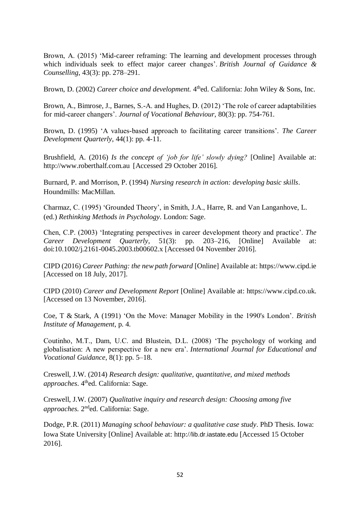Brown, A. (2015) 'Mid-career reframing: The learning and development processes through which individuals seek to effect major career changes'. *British Journal of Guidance & Counselling*, 43(3): pp. 278–291.

Brown, D. (2002) *Career choice and development*. 4<sup>th</sup>ed. California: John Wiley & Sons, Inc.

Brown, A., Bimrose, J., Barnes, S.-A. and Hughes, D. (2012) 'The role of career adaptabilities for mid-career changers'. *Journal of Vocational Behaviour*, 80(3): pp. 754-761.

Brown, D. (1995) 'A values-based approach to facilitating career transitions'. *The Career Development Quarterly*, 44(1): pp. 4-11.

Brushfield, A. (2016) *Is the concept of 'job for life' slowly dying?* [Online] Available at: http://www.roberthalf.com.au [Accessed 29 October 2016].

Burnard, P. and Morrison, P. (1994) *Nursing research in action: developing basic skills*. Houndmills: MacMillan.

Charmaz, C. (1995) 'Grounded Theory', in Smith, J.A., Harre, R. and Van Langanhove, L. (ed.) *Rethinking Methods in Psychology*. London: Sage.

Chen, C.P. (2003) 'Integrating perspectives in career development theory and practice'. *The Career Development Quarterly*, 51(3): pp. 203–216, [Online] Available at: doi:10.1002/j.2161-0045.2003.tb00602.x [Accessed 04 November 2016].

CIPD (2016) *Career Pathing: the new path forward* [Online] Available at: https://www.cipd.ie [Accessed on 18 July, 2017].

CIPD (2010) *Career and Development Report* [Online] Available at: https://www.cipd.co.uk. [Accessed on 13 November, 2016].

Coe, T & Stark, A (1991) 'On the Move: Manager Mobility in the 1990's London'. *British Institute of Management*, p. 4.

Coutinho, M.T., Dam, U.C. and Blustein, D.L. (2008) 'The psychology of working and globalisation: A new perspective for a new era'. *International Journal for Educational and Vocational Guidance*, 8(1): pp. 5–18.

Creswell, J.W. (2014) *Research design: qualitative, quantitative, and mixed methods approaches*. 4<sup>th</sup>ed. California: Sage.

Creswell, J.W. (2007) *Qualitative inquiry and research design: Choosing among five*  approaches. 2<sup>nd</sup>ed. California: Sage.

Dodge, P.R. (2011) *Managing school behaviour: a qualitative case study*. PhD Thesis. Iowa: Iowa State University [Online] Available at: http://[lib.dr.iastate.edu](http://lib.dr.iastate.edu/) [Accessed 15 October 2016].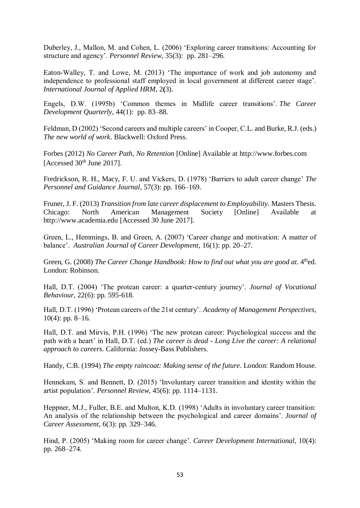Duberley, J., Mallon, M. and Cohen, L. (2006) 'Exploring career transitions: Accounting for structure and agency'. *Personnel Review*, 35(3): pp. 281–296.

Eaton-Walley, T. and Lowe, M. (2013) 'The importance of work and job autonomy and independence to professional staff employed in local government at different career stage'. *[International Journal of Applied HRM,](http://www.managementjournals.com/journals/hrm/index.htm)* 2**(**3).

Engels, D.W. (1995b) 'Common themes in Midlife career transitions'. *The Career Development Quarterly*, 44(1): pp. 83–88.

Feldman, D (2002) 'Second careers and multiple careers' in Cooper, C.L. and Burke, R.J. (eds.) *The new world of work*. Blackwell: Oxford Press.

Forbes (2012) *No Career Path, No Retention* [Online] Available at http://www.forbes.com [Accessed 30<sup>th</sup> June 2017].

Fredrickson, R. H., Macy, F. U. and Vickers, D. (1978) 'Barriers to adult career change' *The Personnel and Guidance Journal*, 57(3): pp. 166–169.

Fruner, J. F. (2013) *Transition from late career displacement to Employability.* Masters Thesis. Chicago: North American Management Society [Online] Available at [http://www.academia.edu](http://www.academia.edu/) [Accessed 30 June 2017].

Green, L., Hemmings, B. and Green, A. (2007) 'Career change and motivation: A matter of balance'. *Australian Journal of Career Development*, 16(1): pp. 20–27.

Green, G. (2008) *The Career Change Handbook: How to find out what you are good at.* 4<sup>th</sup>ed. London: Robinson.

Hall, D.T. (2004) 'The protean career: a quarter-century journey'. *Journal of Vocational Behaviour*, 22(6): pp. 595-618.

Hall, D.T. (1996) 'Protean careers of the 21st century'. *Academy of Management Perspectives*,  $10(4)$ : pp. 8–16.

Hall, D.T. and Mirvis, P.H. (1996) 'The new protean career: Psychological success and the path with a heart' in Hall, D.T. (ed.) *The career is dead - Long Live the career: A relational approach to careers*. California: Jossey-Bass Publishers.

Handy, C.B. (1994) *The empty raincoat: Making sense of the future*. London: Random House.

Hennekam, S. and Bennett, D. (2015) 'Involuntary career transition and identity within the artist population'. *Personnel Review*, 45(6): pp. 1114–1131.

Heppner, M.J., Fuller, B.E. and Multon, K.D. (1998) 'Adults in involuntary career transition: An analysis of the relationship between the psychological and career domains'. *Journal of Career Assessment*, 6(3): pp. 329–346.

Hind, P. (2005) 'Making room for career change'. *Career Development International*, 10(4): pp. 268–274.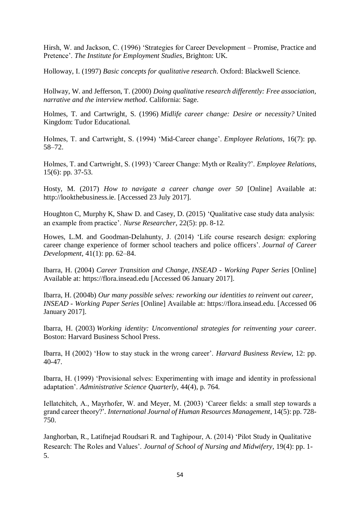Hirsh, W. and Jackson, C. (1996) 'Strategies for Career Development – Promise, Practice and Pretence'. *The Institute for Employment Studies*, Brighton: UK.

Holloway, I. (1997) *Basic concepts for qualitative research*. Oxford: Blackwell Science.

Hollway, W. and Jefferson, T. (2000) *Doing qualitative research differently: Free association, narrative and the interview method*. California: Sage.

Holmes, T. and Cartwright, S. (1996) *Midlife career change: Desire or necessity?* United Kingdom: Tudor Educational.

Holmes, T. and Cartwright, S. (1994) 'Mid‐Career change'. *Employee Relations*, 16(7): pp. 58–72.

Holmes, T. and Cartwright, S. (1993) 'Career Change: Myth or Reality?'. *Employee Relations*, 15(6): pp. 37-53.

Hosty, M. (2017) *How to navigate a career change over 50* [Online] Available at: [http://lookthebusiness.ie.](http://lookthebusiness.ie/) [Accessed 23 July 2017].

Houghton C, Murphy K, Shaw D. and Casey, D. (2015) 'Qualitative case study data analysis: an example from practice'. *Nurse Researcher*, 22(5): pp. 8-12.

Howes, L.M. and Goodman-Delahunty, J. (2014) 'Life course research design: exploring career change experience of former school teachers and police officers'. *Journal of Career Development*, 41(1): pp. 62–84.

Ibarra, H. (2004) *Career Transition and Change*, *INSEAD - Working Paper Series* [Online] Available at: https://flora.insead.edu [Accessed 06 January 2017].

Ibarra, H. (2004b) *Our many possible selves: reworking our identities to reinvent out career*, *INSEAD - Working Paper Series* [Online] Available at: https://flora.insead.edu. [Accessed 06 January 2017].

Ibarra, H. (2003) *Working identity: Unconventional strategies for reinventing your career*. Boston: Harvard Business School Press.

Ibarra, H (2002) 'How to stay stuck in the wrong career'. *Harvard Business Review*, 12: pp. 40-47.

Ibarra, H. (1999) 'Provisional selves: Experimenting with image and identity in professional adaptation'. *Administrative Science Quarterly*, 44(4), p. 764.

Iellatchitch, A., Mayrhofer, W. and Meyer, M. (2003) 'Career fields: a small step towards a grand career theory?'*. International Journal of Human Resources Management*, 14(5): pp. 728- 750.

Janghorban, R., Latifnejad Roudsari R. and Taghipour, A. (2014) 'Pilot Study in Qualitative Research: The Roles and Values'. *Journal of School of Nursing and Midwifery*, 19(4): pp. 1- 5.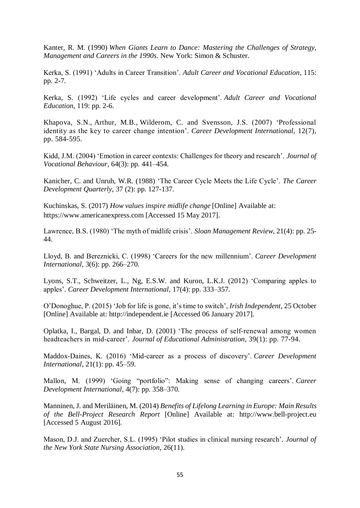Kanter, R. M. (1990) *[When Giants Learn to Dance: Mastering the Challenges of Strategy,](http://www.hbs.edu/faculty/product/8833)  [Management and Careers in the 1990s](http://www.hbs.edu/faculty/product/8833)*. New York: Simon & Schuster.

Kerka, S. (1991) 'Adults in Career Transition'. *Adult Career and Vocational Education*, 115: pp. 2-7.

Kerka, S. (1992) 'Life cycles and career development'. *Adult Career and Vocational Education*, 119: pp. 2-6.

[Khapova,](http://www.emeraldinsight.com/author/Khapova%2C+Svetlana+N) S.N., [Arthur,](http://www.emeraldinsight.com/author/Arthur%2C+Michael+B) M.B., [Wilderom,](http://www.emeraldinsight.com/author/Wilderom%2C+Celeste+PM) C. and [Svensson,](http://www.emeraldinsight.com/author/Svensson%2C+J%C3%B6rgen+S) J.S. (2007) 'Professional identity as the key to career change intention'. *Career Development International*, 12(7), pp. 584-595.

Kidd, J.M. (2004) 'Emotion in career contexts: Challenges for theory and research'. *Journal of Vocational Behaviour*, 64(3): pp. 441–454.

Kanicher, C. and Unruh, W.R. (1988) 'The Career Cycle Meets the Life Cycle'. *The Career Development Quarterly*, 37 (2): pp. 127-137.

Kuchinskas, S. (2017) *How values inspire midlife change* [Online] Available at: [https://www.americanexpress.com](https://www.americanexpress.com/) [Accessed 15 May 2017].

Lawrence, B.S. (1980) 'The myth of midlife crisis'. *Sloan Management Review*, 21(4): pp. 25- 44.

Lloyd, B. and Bereznicki, C. (1998) 'Careers for the new millennium'. *Career Development International*, 3(6): pp. 266–270.

Lyons, S.T., Schweitzer, L., Ng, E.S.W. and Kuron, L.K.J. (2012) 'Comparing apples to apples'. *Career Development International*, 17(4): pp. 333–357.

O'Donoghue, P. (2015) 'Job for life is gone, it's time to switch', *Irish Independent,* 25 October [Online] Available at: http://independent.ie [Accessed 06 January 2017].

Oplatka, I., Bargal, D. and Inbar, D. (2001) 'The process of self‐renewal among women headteachers in mid‐career'. *Journal of Educational Administration*, 39(1): pp. 77-94.

Maddox-Daines, K. (2016) 'Mid-career as a process of discovery'. *Career Development International*, 21(1): pp. 45–59.

Mallon, M. (1999) 'Going "portfolio": Making sense of changing careers'. *Career Development International*, 4(7): pp. 358–370.

Manninen, J. and Meriläinen, M. (2014) *Benefits of Lifelong Learning in Europe: Main Results of the Bell-Project Research Report* [Online] Available at: http://www.bell-project.eu [Accessed 5 August 2016].

Mason, D.J. and Zuercher, S.L. (1995) 'Pilot studies in clinical nursing research'. *Journal of the New York State Nursing Association*, 26(11).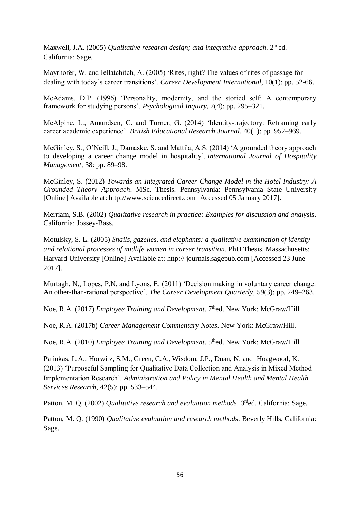Maxwell, J.A. (2005) *Qualitative research design; and integrative approach*. 2nded. California: Sage.

Mayrhofer, W. and Iellatchitch, A. (2005) 'Rites, right? The values of rites of passage for dealing with today's career transitions'*. Career Development International*, 10(1): pp. 52-66.

McAdams, D.P. (1996) 'Personality, modernity, and the storied self: A contemporary framework for studying persons'. *Psychological Inquiry*, 7(4): pp. 295–321.

McAlpine, L., Amundsen, C. and Turner, G. (2014) 'Identity-trajectory: Reframing early career academic experience'. *British Educational Research Journal*, 40(1): pp. 952–969.

McGinley, S., O'Neill, J., Damaske, S. and Mattila, A.S. (2014) 'A grounded theory approach to developing a career change model in hospitality'. *International Journal of Hospitality Management*, 38: pp. 89–98.

McGinley, S. (2012) *Towards an Integrated Career Change Model in the Hotel Industry: A Grounded Theory Approach*. MSc. Thesis. Pennsylvania: Pennsylvania State University [Online] Available at: [http://www.sciencedirect.com](http://www.sciencedirect.com/) [Accessed 05 January 2017].

Merriam, S.B. (2002) *Qualitative research in practice: Examples for discussion and analysis*. California: Jossey-Bass.

Motulsky, S. L. (2005) *Snails, gazelles, and elephants: a qualitative examination of identity and relational processes of midlife women in career transition*. PhD Thesis. Massachusetts: Harvard University [Online] Available at: http:// journals.sagepub.com [Accessed 23 June 2017].

Murtagh, N., Lopes, P.N. and Lyons, E. (2011) 'Decision making in voluntary career change: An other-than-rational perspective'. *The Career Development Quarterly*, 59(3): pp. 249–263.

Noe, R.A. (2017) *Employee Training and Development*. 7<sup>th</sup>ed. New York: McGraw/Hill.

Noe, R.A. (2017b) *Career Management Commentary Notes*. New York: McGraw/Hill.

Noe, R.A. (2010) *Employee Training and Development*. 5<sup>th</sup>ed. New York: McGraw/Hill.

Palinkas, L.A., [Horwitz,](https://www.ncbi.nlm.nih.gov/pubmed/?term=Horwitz%20SM%5BAuthor%5D&cauthor=true&cauthor_uid=24193818) S.M., Green, C.A., Wisdom, J.P., [Duan,](https://www.ncbi.nlm.nih.gov/pubmed/?term=Duan%20N%5BAuthor%5D&cauthor=true&cauthor_uid=24193818) N. and [Hoagwood,](https://www.ncbi.nlm.nih.gov/pubmed/?term=Hoagwood%20K%5BAuthor%5D&cauthor=true&cauthor_uid=24193818) K. (2013) 'Purposeful Sampling for Qualitative Data Collection and Analysis in Mixed Method Implementation Research'. *Administration and Policy in Mental Health and Mental Health Services Research*, 42(5): pp. 533–544.

Patton, M. O. (2002) *Qualitative research and evaluation methods*. 3<sup>rd</sup>ed. California: Sage.

Patton, M. Q. (1990) *Qualitative evaluation and research methods*. Beverly Hills, California: Sage.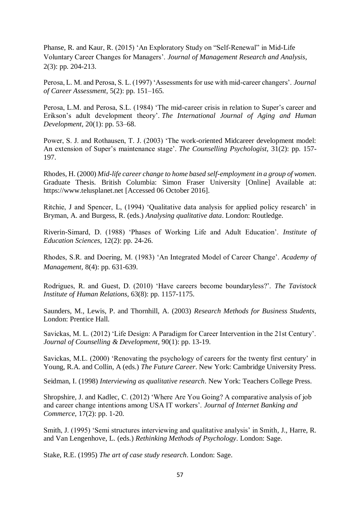Phanse, R. and Kaur, R. (2015) 'An Exploratory Study on "Self-Renewal" in Mid-Life Voluntary Career Changes for Managers'. *Journal of Management Research and Analysis*, 2(3): pp. 204-213.

Perosa, L. M. and Perosa, S. L. (1997) 'Assessments for use with mid-career changers'. *Journal of Career Assessment*, 5(2): pp. 151–165.

Perosa, L.M. and Perosa, S.L. (1984) 'The mid-career crisis in relation to Super's career and Erikson's adult development theory'. *The International Journal of Aging and Human Development*, 20(1): pp. 53–68.

Power, S. J. and Rothausen, T. J. (2003) 'The work-oriented Midcareer development model: An extension of Super's maintenance stage'. *The Counselling Psychologist*, 31(2): pp. 157- 197.

Rhodes, H. (2000) *Mid-life career change to home based self-employment in a group of women*. Graduate Thesis. British Columbia: Simon Fraser University [Online] Available at: https://www.telusplanet.net [Accessed 06 October 2016].

Ritchie, J and Spencer, L, (1994) 'Qualitative data analysis for applied policy research' in Bryman, A. and Burgess, R. (eds.) *Analysing qualitative data*. London: Routledge.

Riverin-Simard, D. (1988) 'Phases of Working Life and Adult Education'. *Institute of Education Sciences*, 12(2): pp. 24-26.

Rhodes, S.R. and Doering, M. (1983) 'An Integrated Model of Career Change'. *Academy of Management,* 8(4): pp. 631-639.

Rodrigues, R. and Guest, D. (2010) 'Have careers become boundaryless?'. *The Tavistock Institute of Human Relations,* 63(8): pp. 1157-1175.

Saunders, M., Lewis, P. and Thornhill, A. (2003) *Research Methods for Business Students*, London: Prentice Hall.

Savickas, M. L. (2012) 'Life Design: A Paradigm for Career Intervention in the 21st Century'. *Journal of Counselling & Development*, 90(1): pp. 13-19.

Savickas, M.L. (2000) 'Renovating the psychology of careers for the twenty first century' in Young, R.A. and Collin, A (eds.) *The Future Career*. New York: Cambridge University Press.

Seidman, I. (1998) *Interviewing as qualitative research*. New York: Teachers College Press.

Shropshire, J. and Kadlec, C. (2012) 'Where Are You Going? A comparative analysis of job and career change intentions among USA IT workers'. *Journal of Internet Banking and Commerce*, 17(2): pp. 1-20.

Smith, J. (1995) 'Semi structures interviewing and qualitative analysis' in Smith, J., Harre, R. and Van Lengenhove, L. (eds.) *Rethinking Methods of Psychology*. London: Sage.

Stake, R.E. (1995) *The art of case study research*. London: Sage.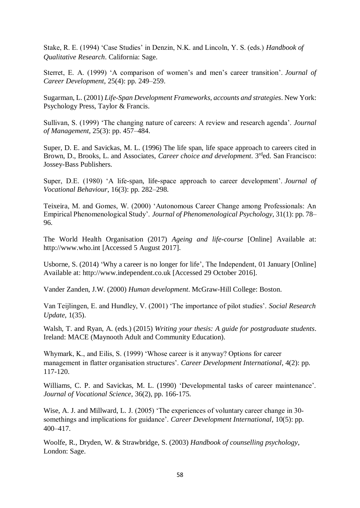Stake, R. E. (1994) 'Case Studies' in Denzin, N.K. and Lincoln, Y. S. (eds.) *Handbook of Qualitative Research*. California: Sage.

Sterret, E. A. (1999) 'A comparison of women's and men's career transition'. *Journal of Career Development*, 25(4): pp. 249–259.

Sugarman, L. (2001) *Life-Span Development Frameworks, accounts and strategies*. New York: Psychology Press, Taylor & Francis.

Sullivan, S. (1999) 'The changing nature of careers: A review and research agenda'. *Journal of Management*, 25(3): pp. 457–484.

Super, D. E. and Savickas, M. L. (1996) The life span, life space approach to careers cited in Brown, D., Brooks, L. and Associates, *Career choice and development*. 3rded. San Francisco: Jossey-Bass Publishers.

Super, D.E. (1980) 'A life-span, life-space approach to career development'. *Journal of Vocational Behaviour*, 16(3): pp. 282–298.

Teixeira, M. and Gomes, W. (2000) 'Autonomous Career Change among Professionals: An Empirical Phenomenological Study'. *Journal of Phenomenological Psychology*, 31(1): pp. 78– 96.

The World Health Organisation (2017) *Ageing and life-course* [Online] Available at: http://www.who.int [Accessed 5 August 2017].

Usborne, S. (2014) 'Why a career is no longer for life', The Independent, 01 January [Online] Available at: http://www.independent.co.uk [Accessed 29 October 2016].

Vander Zanden, J.W. (2000) *Human development*. McGraw-Hill College: Boston.

Van Teijlingen, E. and Hundley, V. (2001) 'The importance of pilot studies'. *Social Research Update*, 1(35).

Walsh, T. and Ryan, A. (eds.) (2015) *Writing your thesis: A guide for postgraduate students*. Ireland: MACE (Maynooth Adult and Community Education).

Whymark, K., and Eilis, S. (1999) 'Whose career is it anyway? Options for career management in flatter organisation structures'. *Career Development International*, 4(2): pp. 117-120.

Williams, C. P. and Savickas, M. L. (1990) 'Developmental tasks of career maintenance'. *Journal of Vocational Science*, 36(2), pp. 166-175.

Wise, A. J. and Millward, L. J. (2005) 'The experiences of voluntary career change in 30– somethings and implications for guidance'. *Career Development International*, 10(5): pp. 400–417.

Woolfe, R., Dryden, W. & Strawbridge, S. (2003) *Handbook of counselling psychology*, London: Sage.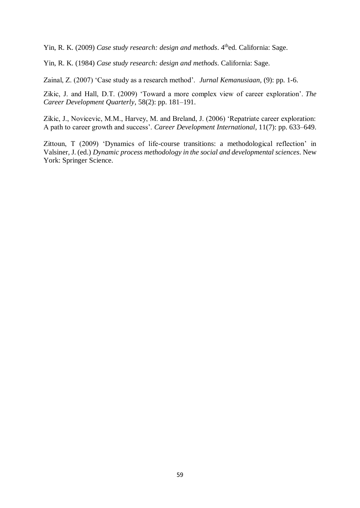Yin, R. K. (2009) *Case study research: design and methods*. 4<sup>th</sup>ed. California: Sage.

Yin, R. K. (1984) *Case study research: design and methods*. California: Sage.

Zainal, Z. (2007) 'Case study as a research method'. *Jurnal Kemanusiaan,* (9): pp. 1-6.

Zikic, J. and Hall, D.T. (2009) 'Toward a more complex view of career exploration'. *The Career Development Quarterly*, 58(2): pp. 181–191.

Zikic, J., Novicevic, M.M., Harvey, M. and Breland, J. (2006) 'Repatriate career exploration: A path to career growth and success'. *Career Development International*, 11(7): pp. 633–649.

Zittoun, T (2009) 'Dynamics of life-course transitions: a methodological reflection' in Valsiner, J. (ed.) *Dynamic process methodology in the social and developmental sciences*. New York: Springer Science.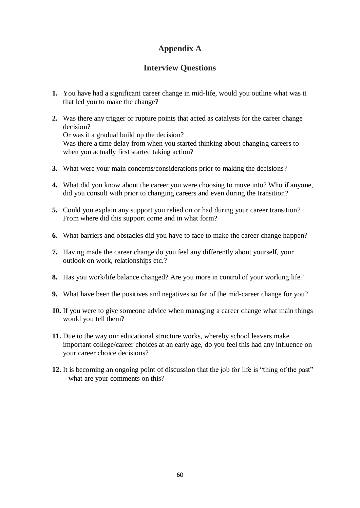# **Appendix A**

# **Interview Questions**

- **1.** You have had a significant career change in mid-life, would you outline what was it that led you to make the change?
- **2.** Was there any trigger or rupture points that acted as catalysts for the career change decision? Or was it a gradual build up the decision? Was there a time delay from when you started thinking about changing careers to when you actually first started taking action?
- **3.** What were your main concerns/considerations prior to making the decisions?
- **4.** What did you know about the career you were choosing to move into? Who if anyone, did you consult with prior to changing careers and even during the transition?
- **5.** Could you explain any support you relied on or had during your career transition? From where did this support come and in what form?
- **6.** What barriers and obstacles did you have to face to make the career change happen?
- **7.** Having made the career change do you feel any differently about yourself, your outlook on work, relationships etc.?
- **8.** Has you work/life balance changed? Are you more in control of your working life?
- **9.** What have been the positives and negatives so far of the mid-career change for you?
- **10.** If you were to give someone advice when managing a career change what main things would you tell them?
- **11.** Due to the way our educational structure works, whereby school leavers make important college/career choices at an early age, do you feel this had any influence on your career choice decisions?
- **12.** It is becoming an ongoing point of discussion that the job for life is "thing of the past" – what are your comments on this?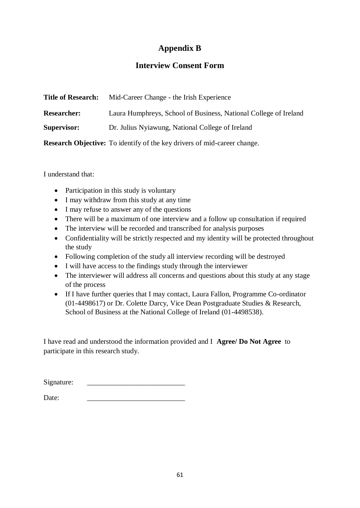# **Appendix B**

# **Interview Consent Form**

| <b>Title of Research:</b> | Mid-Career Change - the Irish Experience                                        |
|---------------------------|---------------------------------------------------------------------------------|
| <b>Researcher:</b>        | Laura Humphreys, School of Business, National College of Ireland                |
| <b>Supervisor:</b>        | Dr. Julius Nyiawung, National College of Ireland                                |
|                           | <b>Research Objective:</b> To identify of the key drivers of mid-career change. |

I understand that:

- Participation in this study is voluntary
- I may withdraw from this study at any time
- I may refuse to answer any of the questions
- There will be a maximum of one interview and a follow up consultation if required
- The interview will be recorded and transcribed for analysis purposes
- Confidentiality will be strictly respected and my identity will be protected throughout the study
- Following completion of the study all interview recording will be destroyed
- I will have access to the findings study through the interviewer
- The interviewer will address all concerns and questions about this study at any stage of the process
- If I have further queries that I may contact, Laura Fallon, Programme Co-ordinator (01-4498617) or Dr. Colette Darcy, Vice Dean Postgraduate Studies & Research, School of Business at the National College of Ireland (01-4498538).

I have read and understood the information provided and I **Agree/ Do Not Agree** to participate in this research study.

| Signature: |  |
|------------|--|
|            |  |

Date: \_\_\_\_\_\_\_\_\_\_\_\_\_\_\_\_\_\_\_\_\_\_\_\_\_\_\_